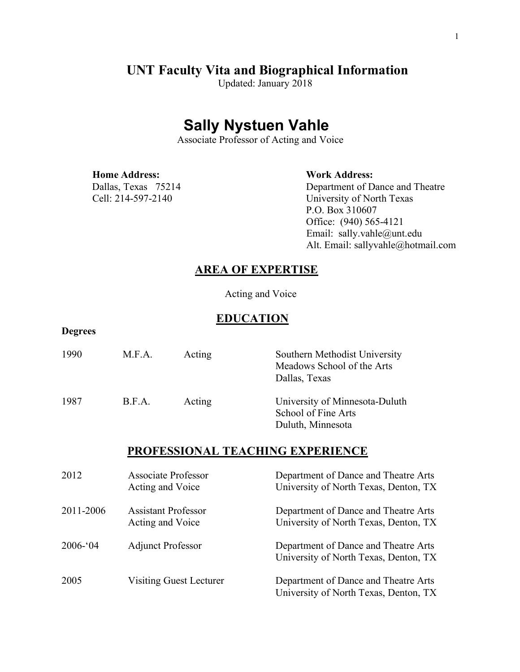# **UNT Faculty Vita and Biographical Information** Updated: January <sup>2018</sup>

## **Sally Nystuen Vahle**

Associate Professor of Acting and Voice

 **Home Address: Work Address:**

**Degrees**

Dallas, Texas 75214 Department of Dance and Theatre Cell: 214-597-2140 University of North Texas P.O. Box 310607 Office: (940) 565-4121 Email: sally.vahle@unt.edu Alt. Email: sallyvahle@hotmail.com

### **AREA OF EXPERTISE**

Acting and Voice

### **EDUCATION**

| 1990      | M.F.A.                                         | Acting                  | Southern Methodist University<br>Meadows School of the Arts<br>Dallas, Texas  |
|-----------|------------------------------------------------|-------------------------|-------------------------------------------------------------------------------|
| 1987      | B.F.A.                                         | Acting                  | University of Minnesota-Duluth<br>School of Fine Arts<br>Duluth, Minnesota    |
|           |                                                |                         | PROFESSIONAL TEACHING EXPERIENCE                                              |
| 2012      | <b>Associate Professor</b><br>Acting and Voice |                         | Department of Dance and Theatre Arts<br>University of North Texas, Denton, TX |
| 2011-2006 | <b>Assistant Professor</b><br>Acting and Voice |                         | Department of Dance and Theatre Arts<br>University of North Texas, Denton, TX |
| 2006-'04  | <b>Adjunct Professor</b>                       |                         | Department of Dance and Theatre Arts<br>University of North Texas, Denton, TX |
| 2005      |                                                | Visiting Guest Lecturer | Department of Dance and Theatre Arts<br>University of North Texas, Denton, TX |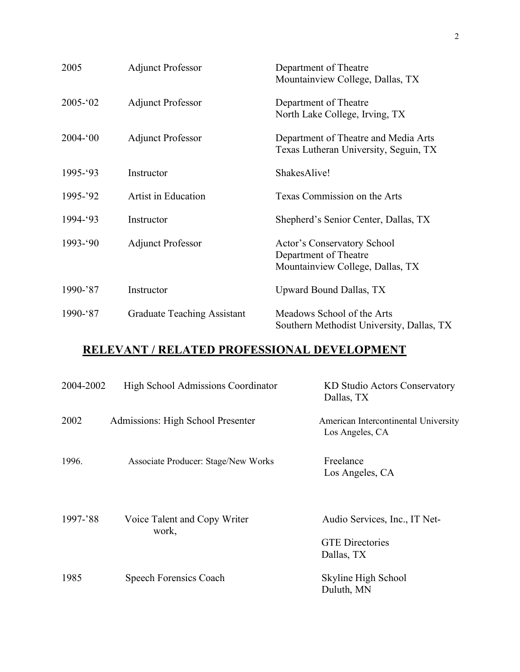| 2005        | <b>Adjunct Professor</b>           | Department of Theatre<br>Mountainview College, Dallas, TX                                |
|-------------|------------------------------------|------------------------------------------------------------------------------------------|
| $2005 - 02$ | <b>Adjunct Professor</b>           | Department of Theatre<br>North Lake College, Irving, TX                                  |
| $2004 - 00$ | <b>Adjunct Professor</b>           | Department of Theatre and Media Arts<br>Texas Lutheran University, Seguin, TX            |
| 1995-'93    | Instructor                         | ShakesAlive!                                                                             |
| 1995-'92    | Artist in Education                | Texas Commission on the Arts                                                             |
| 1994-'93    | Instructor                         | Shepherd's Senior Center, Dallas, TX                                                     |
| 1993-'90    | <b>Adjunct Professor</b>           | Actor's Conservatory School<br>Department of Theatre<br>Mountainview College, Dallas, TX |
| $1990 - 87$ | Instructor                         | Upward Bound Dallas, TX                                                                  |
| 1990-'87    | <b>Graduate Teaching Assistant</b> | Meadows School of the Arts<br>Southern Methodist University, Dallas, TX                  |

## **RELEVANT / RELATED PROFESSIONAL DEVELOPMENT**

| 2004-2002 | High School Admissions Coordinator         | KD Studio Actors Conservatory<br>Dallas, TX                           |
|-----------|--------------------------------------------|-----------------------------------------------------------------------|
| 2002      | Admissions: High School Presenter          | American Intercontinental University<br>Los Angeles, CA               |
| 1996.     | <b>Associate Producer: Stage/New Works</b> | Freelance<br>Los Angeles, CA                                          |
| 1997-'88  | Voice Talent and Copy Writer<br>work,      | Audio Services, Inc., IT Net-<br><b>GTE Directories</b><br>Dallas, TX |
| 1985      | Speech Forensics Coach                     | Skyline High School<br>Duluth, MN                                     |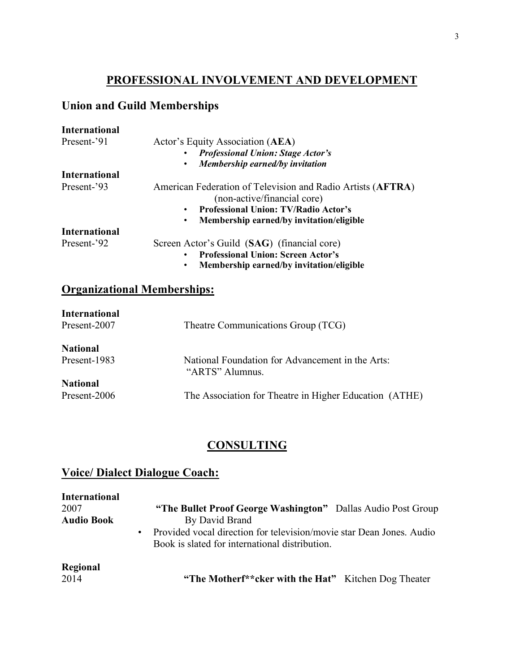## **PROFESSIONAL INVOLVEMENT AND DEVELOPMENT**

## **Union and Guild Memberships**

| <b>International</b>               |                                                                                            |
|------------------------------------|--------------------------------------------------------------------------------------------|
| Present-'91                        | Actor's Equity Association (AEA)                                                           |
|                                    | <b>Professional Union: Stage Actor's</b>                                                   |
|                                    | Membership earned/by invitation<br>$\bullet$                                               |
| <b>International</b>               |                                                                                            |
| Present-'93                        | American Federation of Television and Radio Artists (AFTRA)<br>(non-active/financial core) |
|                                    | <b>Professional Union: TV/Radio Actor's</b><br>$\bullet$                                   |
|                                    | Membership earned/by invitation/eligible<br>$\bullet$                                      |
| <b>International</b>               |                                                                                            |
| Present-'92                        | Screen Actor's Guild (SAG) (financial core)                                                |
|                                    | <b>Professional Union: Screen Actor's</b><br>$\bullet$                                     |
|                                    | Membership earned/by invitation/eligible<br>$\bullet$                                      |
| <b>Organizational Memberships:</b> |                                                                                            |
| <b>International</b>               |                                                                                            |
| Present-2007                       | Theatre Communications Group (TCG)                                                         |
|                                    |                                                                                            |
| <b>National</b>                    |                                                                                            |
| Present-1983                       | National Foundation for Advancement in the Arts:<br>"ARTS" Alumnus.                        |
| <b>National</b>                    |                                                                                            |
| Present-2006                       | The Association for Theatre in Higher Education (ATHE)                                     |

## **CONSULTING**

## **Voice/ Dialect Dialogue Coach:**

| <b>International</b><br>2007<br><b>Audio Book</b> | "The Bullet Proof George Washington" Dallas Audio Post Group<br>By David Brand<br>• Provided vocal direction for television/movie star Dean Jones. Audio<br>Book is slated for international distribution. |
|---------------------------------------------------|------------------------------------------------------------------------------------------------------------------------------------------------------------------------------------------------------------|
| Regional<br>2014                                  | "The Motherf** cker with the Hat" Kitchen Dog Theater                                                                                                                                                      |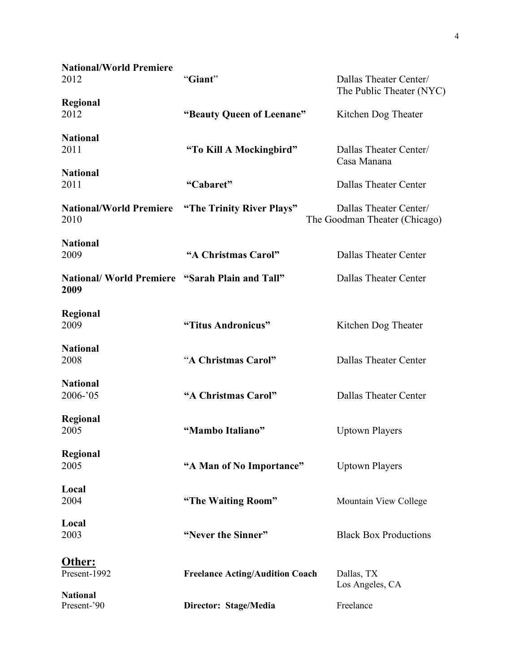| <b>National/World Premiere</b><br>2012                         | "Giant"                                | Dallas Theater Center/<br>The Public Theater (NYC)      |
|----------------------------------------------------------------|----------------------------------------|---------------------------------------------------------|
| Regional<br>2012                                               | "Beauty Queen of Leenane"              | Kitchen Dog Theater                                     |
| <b>National</b><br>2011                                        | "To Kill A Mockingbird"                | Dallas Theater Center/<br>Casa Manana                   |
| <b>National</b><br>2011                                        | "Cabaret"                              | Dallas Theater Center                                   |
| <b>National/World Premiere</b><br>2010                         | "The Trinity River Plays"              | Dallas Theater Center/<br>The Goodman Theater (Chicago) |
| <b>National</b><br>2009                                        | "A Christmas Carol"                    | Dallas Theater Center                                   |
| <b>National/ World Premiere "Sarah Plain and Tall"</b><br>2009 |                                        | <b>Dallas Theater Center</b>                            |
| <b>Regional</b><br>2009                                        | "Titus Andronicus"                     | Kitchen Dog Theater                                     |
| <b>National</b><br>2008                                        | "A Christmas Carol"                    | Dallas Theater Center                                   |
| <b>National</b><br>2006-'05                                    | "A Christmas Carol"                    | <b>Dallas Theater Center</b>                            |
| <b>Regional</b><br>2005                                        | "Mambo Italiano"                       | <b>Uptown Players</b>                                   |
| Regional<br>2005                                               | "A Man of No Importance"               | <b>Uptown Players</b>                                   |
| Local<br>2004                                                  | "The Waiting Room"                     | Mountain View College                                   |
| Local<br>2003                                                  | "Never the Sinner"                     | <b>Black Box Productions</b>                            |
| Other:<br>Present-1992                                         | <b>Freelance Acting/Audition Coach</b> | Dallas, TX<br>Los Angeles, CA                           |
| <b>National</b><br>Present-'90                                 | Director: Stage/Media                  | Freelance                                               |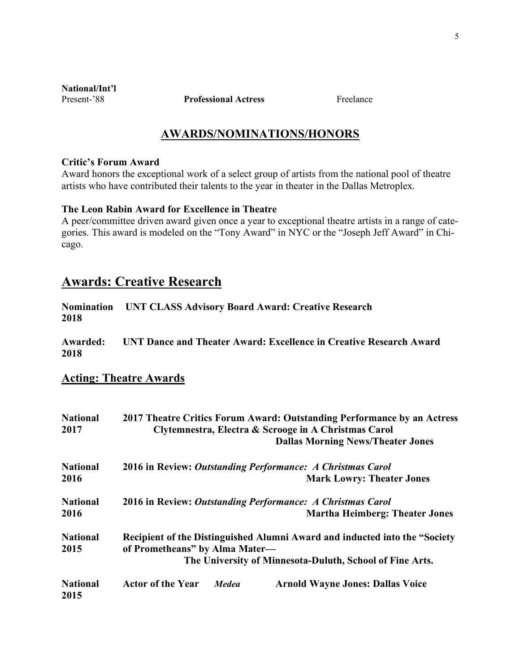**National/Int'l**

**Present-'88 Professional Actress Professional Professional Professional Professional Professional Professional Professional Professional Professional Professional Professional Professional Professional Professional Pr** 

### **AWARDS/NOMINATIONS/HONORS**

#### **Critic's Forum Award**

Award honors the exceptional work of a select group of artists from the national pool of theatre artists who have contributed their talents to the year in theater in the Dallas Metroplex.

#### **The Leon Rabin Award for Excellence in Theatre**

A peer/committee driven award given once a year to exceptional theatre artists in a range of categories. This award is modeled on the "Tony Award" in NYC or the "Joseph Jeff Award" in Chicago.

## **Awards: Creative Research**

|      | Nomination UNT CLASS Advisory Board Award: Creative Research |
|------|--------------------------------------------------------------|
| 2018 |                                                              |

**Awarded: UNT Dance and Theater Award: Excellence in Creative Research Award 2018**

#### **Acting: Theatre Awards**

| <b>National</b><br>2017 | 2017 Theatre Critics Forum Award: Outstanding Performance by an Actress<br>Clytemnestra, Electra & Scrooge in A Christmas Carol |  |  |
|-------------------------|---------------------------------------------------------------------------------------------------------------------------------|--|--|
|                         | <b>Dallas Morning News/Theater Jones</b>                                                                                        |  |  |
| <b>National</b>         | 2016 in Review: Outstanding Performance: A Christmas Carol                                                                      |  |  |
| 2016                    | <b>Mark Lowry: Theater Jones</b>                                                                                                |  |  |
| <b>National</b>         | 2016 in Review: Outstanding Performance: A Christmas Carol                                                                      |  |  |
| 2016                    | <b>Martha Heimberg: Theater Jones</b>                                                                                           |  |  |
| <b>National</b><br>2015 | Recipient of the Distinguished Alumni Award and inducted into the "Society<br>of Prometheans" by Alma Mater-                    |  |  |
|                         | The University of Minnesota-Duluth, School of Fine Arts.                                                                        |  |  |
| <b>National</b><br>2015 | <b>Actor of the Year</b><br><b>Arnold Wayne Jones: Dallas Voice</b><br><b>Medea</b>                                             |  |  |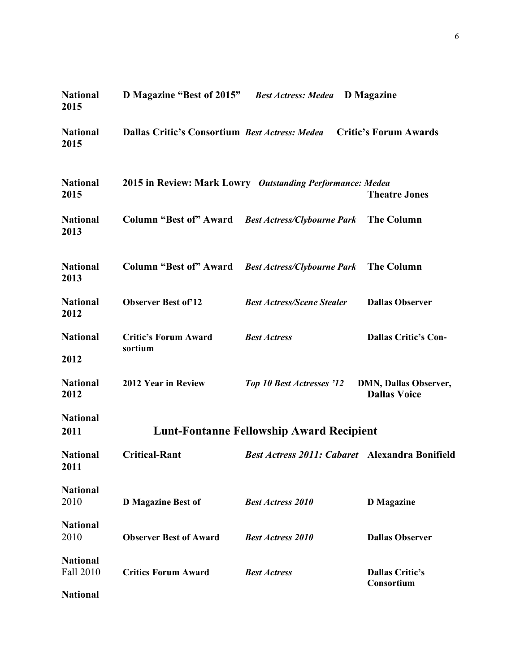| <b>National</b><br>2015      | D Magazine "Best of 2015" Best Actress: Medea         |                                                           | <b>D</b> Magazine                                   |
|------------------------------|-------------------------------------------------------|-----------------------------------------------------------|-----------------------------------------------------|
| <b>National</b><br>2015      | <b>Dallas Critic's Consortium Best Actress: Medea</b> |                                                           | <b>Critic's Forum Awards</b>                        |
| <b>National</b><br>2015      |                                                       | 2015 in Review: Mark Lowry Outstanding Performance: Medea | <b>Theatre Jones</b>                                |
| <b>National</b><br>2013      | Column "Best of" Award Best Actress/Clybourne Park    |                                                           | <b>The Column</b>                                   |
| <b>National</b><br>2013      | Column "Best of" Award Best Actress/Clybourne Park    |                                                           | <b>The Column</b>                                   |
| <b>National</b><br>2012      | <b>Observer Best of 12</b>                            | <b>Best Actress/Scene Stealer</b>                         | <b>Dallas Observer</b>                              |
| <b>National</b><br>2012      | <b>Critic's Forum Award</b><br>sortium                | <b>Best Actress</b>                                       | <b>Dallas Critic's Con-</b>                         |
| <b>National</b><br>2012      | 2012 Year in Review                                   | Top 10 Best Actresses '12                                 | <b>DMN, Dallas Observer,</b><br><b>Dallas Voice</b> |
| <b>National</b><br>2011      |                                                       | <b>Lunt-Fontanne Fellowship Award Recipient</b>           |                                                     |
| <b>National</b><br>2011      | <b>Critical-Rant</b>                                  | <b>Best Actress 2011: Cabaret Alexandra Bonifield</b>     |                                                     |
| <b>National</b><br>2010      | <b>D</b> Magazine Best of                             | <b>Best Actress 2010</b>                                  | <b>D</b> Magazine                                   |
| <b>National</b><br>2010      | <b>Observer Best of Award</b>                         | <b>Best Actress 2010</b>                                  | <b>Dallas Observer</b>                              |
| <b>National</b><br>Fall 2010 | <b>Critics Forum Award</b>                            | <b>Best Actress</b>                                       | <b>Dallas Critic's</b><br>Consortium                |
| <b>National</b>              |                                                       |                                                           |                                                     |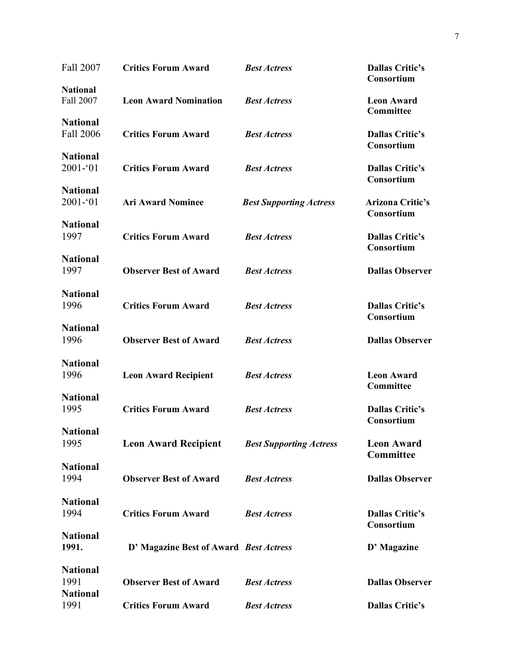| Fall 2007                      | <b>Critics Forum Award</b>                          | <b>Best Actress</b>            | <b>Dallas Critic's</b><br>Consortium |
|--------------------------------|-----------------------------------------------------|--------------------------------|--------------------------------------|
| <b>National</b><br>Fall 2007   | <b>Leon Award Nomination</b>                        | <b>Best Actress</b>            | <b>Leon Award</b><br>Committee       |
| <b>National</b><br>Fall 2006   | <b>Critics Forum Award</b>                          | <b>Best Actress</b>            | <b>Dallas Critic's</b><br>Consortium |
| <b>National</b><br>$2001 - 01$ | <b>Critics Forum Award</b>                          | <b>Best Actress</b>            | <b>Dallas Critic's</b><br>Consortium |
| <b>National</b><br>$2001 - 01$ | <b>Ari Award Nominee</b>                            | <b>Best Supporting Actress</b> | <b>Arizona Critic's</b>              |
| <b>National</b><br>1997        | <b>Critics Forum Award</b>                          | <b>Best Actress</b>            | Consortium<br><b>Dallas Critic's</b> |
| <b>National</b><br>1997        | <b>Observer Best of Award</b>                       | <b>Best Actress</b>            | Consortium<br><b>Dallas Observer</b> |
| <b>National</b><br>1996        | <b>Critics Forum Award</b>                          | <b>Best Actress</b>            | <b>Dallas Critic's</b>               |
| <b>National</b><br>1996        | <b>Observer Best of Award</b>                       | <b>Best Actress</b>            | Consortium<br><b>Dallas Observer</b> |
| <b>National</b><br>1996        | <b>Leon Award Recipient</b>                         | <b>Best Actress</b>            | <b>Leon Award</b>                    |
| <b>National</b><br>1995        | <b>Critics Forum Award</b>                          | <b>Best Actress</b>            | Committee<br><b>Dallas Critic's</b>  |
| <b>National</b><br>1995        | <b>Leon Award Recipient Best Supporting Actress</b> |                                | Consortium<br><b>Leon Award</b>      |
| <b>National</b><br>1994        | <b>Observer Best of Award</b>                       | <b>Best Actress</b>            | Committee<br><b>Dallas Observer</b>  |
| <b>National</b><br>1994        | <b>Critics Forum Award</b>                          | <b>Best Actress</b>            | <b>Dallas Critic's</b>               |
| <b>National</b><br>1991.       | D' Magazine Best of Award Best Actress              |                                | Consortium<br>D' Magazine            |
| <b>National</b><br>1991        | <b>Observer Best of Award</b>                       | <b>Best Actress</b>            | <b>Dallas Observer</b>               |
| <b>National</b><br>1991        | <b>Critics Forum Award</b>                          | <b>Best Actress</b>            | <b>Dallas Critic's</b>               |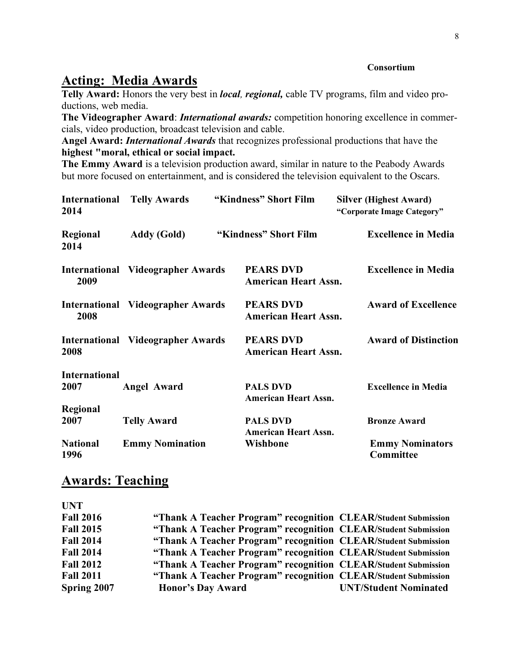#### **Consortium**

## **Acting: Media Awards**

**Telly Award:** Honors the very best in *local, regional,* cable TV programs, film and video productions, web media.

**The Videographer Award**: *International awards:* competition honoring excellence in commercials, video production, broadcast television and cable.

**Angel Award:** *International Awards* that recognizes professional productions that have the **highest "moral, ethical or social impact.**

**The Emmy Award** is a television production award, similar in nature to the Peabody Awards but more focused on entertainment, and is considered the television equivalent to the Oscars.

| <b>International</b><br>2014 | <b>Telly Awards</b>                      | "Kindness" Short Film                           | <b>Silver (Highest Award)</b><br>"Corporate Image Category" |
|------------------------------|------------------------------------------|-------------------------------------------------|-------------------------------------------------------------|
| Regional<br>2014             | Addy (Gold)                              | "Kindness" Short Film                           | <b>Excellence in Media</b>                                  |
| 2009                         | <b>International Videographer Awards</b> | <b>PEARS DVD</b><br><b>American Heart Assn.</b> | <b>Excellence in Media</b>                                  |
| 2008                         | <b>International Videographer Awards</b> | <b>PEARS DVD</b><br><b>American Heart Assn.</b> | <b>Award of Excellence</b>                                  |
| 2008                         | <b>International Videographer Awards</b> | <b>PEARS DVD</b><br><b>American Heart Assn.</b> | <b>Award of Distinction</b>                                 |
| <b>International</b>         |                                          |                                                 |                                                             |
| 2007                         | Angel Award                              | <b>PALS DVD</b><br><b>American Heart Assn.</b>  | <b>Excellence in Media</b>                                  |
| Regional                     |                                          |                                                 |                                                             |
| 2007                         | <b>Telly Award</b>                       | <b>PALS DVD</b><br><b>American Heart Assn.</b>  | <b>Bronze Award</b>                                         |
| <b>National</b><br>1996      | <b>Emmy Nomination</b>                   | Wishbone                                        | <b>Emmy Nominators</b><br>Committee                         |

## **Awards: Teaching**

| <b>UNT</b>       |                                                                |                              |
|------------------|----------------------------------------------------------------|------------------------------|
| <b>Fall 2016</b> | "Thank A Teacher Program" recognition CLEAR/Student Submission |                              |
| <b>Fall 2015</b> | "Thank A Teacher Program" recognition CLEAR/Student Submission |                              |
| <b>Fall 2014</b> | "Thank A Teacher Program" recognition CLEAR/Student Submission |                              |
| <b>Fall 2014</b> | "Thank A Teacher Program" recognition CLEAR/Student Submission |                              |
| <b>Fall 2012</b> | "Thank A Teacher Program" recognition CLEAR/Student Submission |                              |
| <b>Fall 2011</b> | "Thank A Teacher Program" recognition CLEAR/Student Submission |                              |
| Spring 2007      | <b>Honor's Day Award</b>                                       | <b>UNT/Student Nominated</b> |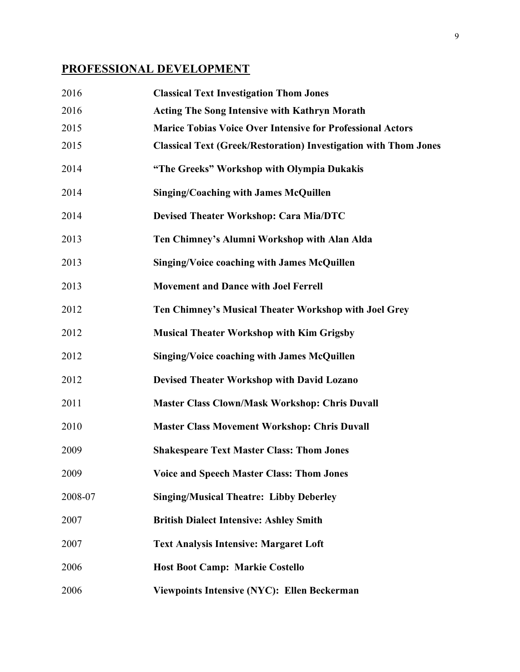## **PROFESSIONAL DEVELOPMENT**

| 2016    | <b>Classical Text Investigation Thom Jones</b>                          |
|---------|-------------------------------------------------------------------------|
| 2016    | <b>Acting The Song Intensive with Kathryn Morath</b>                    |
| 2015    | <b>Marice Tobias Voice Over Intensive for Professional Actors</b>       |
| 2015    | <b>Classical Text (Greek/Restoration) Investigation with Thom Jones</b> |
| 2014    | "The Greeks" Workshop with Olympia Dukakis                              |
| 2014    | <b>Singing/Coaching with James McQuillen</b>                            |
| 2014    | <b>Devised Theater Workshop: Cara Mia/DTC</b>                           |
| 2013    | Ten Chimney's Alumni Workshop with Alan Alda                            |
| 2013    | <b>Singing/Voice coaching with James McQuillen</b>                      |
| 2013    | <b>Movement and Dance with Joel Ferrell</b>                             |
| 2012    | Ten Chimney's Musical Theater Workshop with Joel Grey                   |
| 2012    | <b>Musical Theater Workshop with Kim Grigsby</b>                        |
| 2012    | <b>Singing/Voice coaching with James McQuillen</b>                      |
| 2012    | <b>Devised Theater Workshop with David Lozano</b>                       |
| 2011    | <b>Master Class Clown/Mask Workshop: Chris Duvall</b>                   |
| 2010    | <b>Master Class Movement Workshop: Chris Duvall</b>                     |
| 2009    | <b>Shakespeare Text Master Class: Thom Jones</b>                        |
| 2009    | <b>Voice and Speech Master Class: Thom Jones</b>                        |
| 2008-07 | <b>Singing/Musical Theatre: Libby Deberley</b>                          |
| 2007    | <b>British Dialect Intensive: Ashley Smith</b>                          |
| 2007    | <b>Text Analysis Intensive: Margaret Loft</b>                           |
| 2006    | <b>Host Boot Camp: Markie Costello</b>                                  |
| 2006    | Viewpoints Intensive (NYC): Ellen Beckerman                             |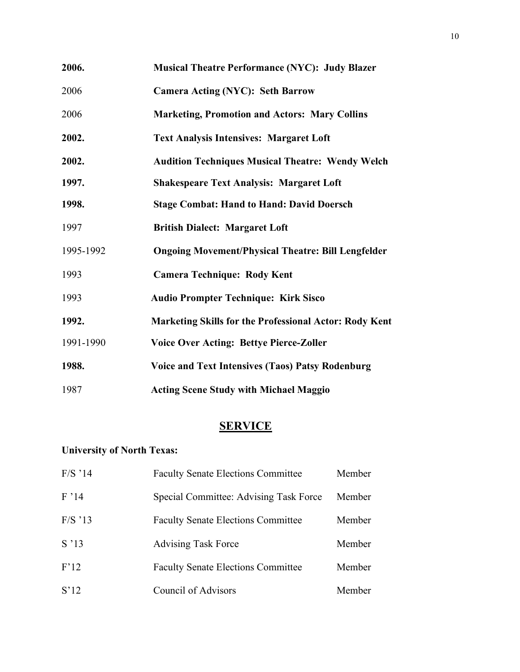| 2006.     | <b>Musical Theatre Performance (NYC): Judy Blazer</b>         |
|-----------|---------------------------------------------------------------|
| 2006      | <b>Camera Acting (NYC): Seth Barrow</b>                       |
| 2006      | <b>Marketing, Promotion and Actors: Mary Collins</b>          |
| 2002.     | <b>Text Analysis Intensives: Margaret Loft</b>                |
| 2002.     | <b>Audition Techniques Musical Theatre: Wendy Welch</b>       |
| 1997.     | <b>Shakespeare Text Analysis: Margaret Loft</b>               |
| 1998.     | <b>Stage Combat: Hand to Hand: David Doersch</b>              |
| 1997      | <b>British Dialect: Margaret Loft</b>                         |
| 1995-1992 | <b>Ongoing Movement/Physical Theatre: Bill Lengfelder</b>     |
| 1993      | <b>Camera Technique: Rody Kent</b>                            |
| 1993      | <b>Audio Prompter Technique: Kirk Sisco</b>                   |
| 1992.     | <b>Marketing Skills for the Professional Actor: Rody Kent</b> |
| 1991-1990 | <b>Voice Over Acting: Bettye Pierce-Zoller</b>                |
| 1988.     | <b>Voice and Text Intensives (Taos) Patsy Rodenburg</b>       |
| 1987      | <b>Acting Scene Study with Michael Maggio</b>                 |

## **SERVICE**

## **University of North Texas:**

| $F/S$ '14 | <b>Faculty Senate Elections Committee</b> | Member |
|-----------|-------------------------------------------|--------|
| F'14      | Special Committee: Advising Task Force    | Member |
| $F/S$ '13 | <b>Faculty Senate Elections Committee</b> | Member |
| S'13      | <b>Advising Task Force</b>                | Member |
| F'12      | <b>Faculty Senate Elections Committee</b> | Member |
| S'12      | Council of Advisors                       | Member |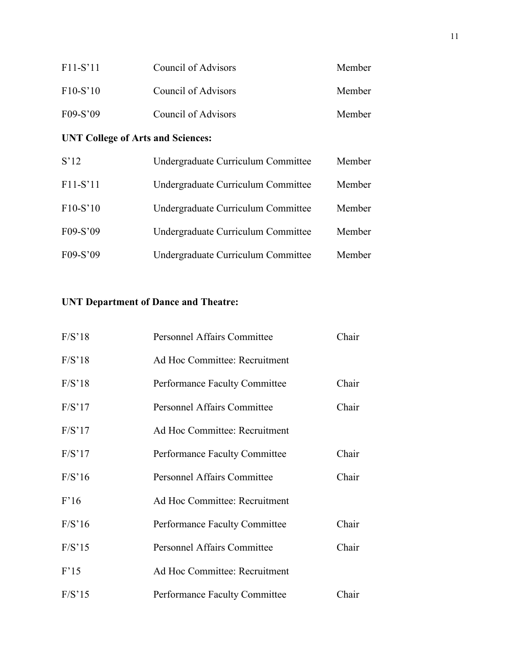| $F11-S'11$ | Council of Advisors | Member |
|------------|---------------------|--------|
| $F10-S'10$ | Council of Advisors | Member |
| $F09-S'09$ | Council of Advisors | Member |

## **UNT College of Arts and Sciences:**

| S'12       | Undergraduate Curriculum Committee | Member |
|------------|------------------------------------|--------|
| $F11-S'11$ | Undergraduate Curriculum Committee | Member |
| $F10-S'10$ | Undergraduate Curriculum Committee | Member |
| F09-S'09   | Undergraduate Curriculum Committee | Member |
| F09-S'09   | Undergraduate Curriculum Committee | Member |

## **UNT Department of Dance and Theatre:**

| F/S'18 | <b>Personnel Affairs Committee</b>   | Chair |
|--------|--------------------------------------|-------|
| F/S'18 | Ad Hoc Committee: Recruitment        |       |
| F/S'18 | <b>Performance Faculty Committee</b> | Chair |
| F/S'17 | <b>Personnel Affairs Committee</b>   | Chair |
| F/S'17 | Ad Hoc Committee: Recruitment        |       |
| F/S'17 | <b>Performance Faculty Committee</b> | Chair |
| F/S'16 | <b>Personnel Affairs Committee</b>   | Chair |
| F'16   | Ad Hoc Committee: Recruitment        |       |
| F/S'16 | Performance Faculty Committee        | Chair |
| F/S'15 | <b>Personnel Affairs Committee</b>   | Chair |
| F'15   | Ad Hoc Committee: Recruitment        |       |
| F/S'15 | <b>Performance Faculty Committee</b> | Chair |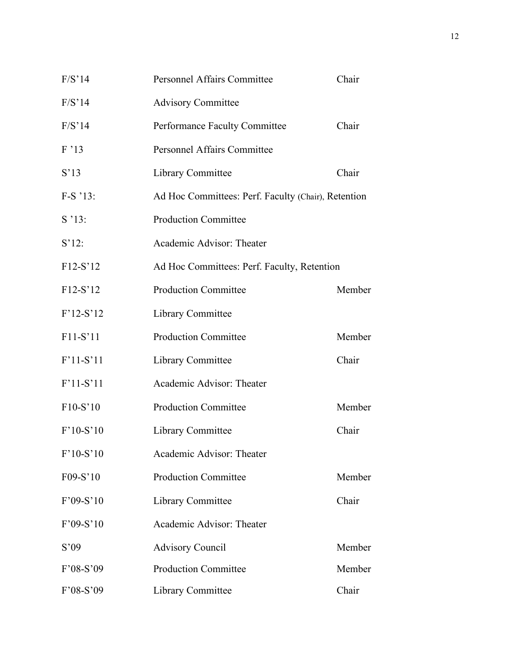| F/S'14          | Personnel Affairs Committee                         | Chair  |  |
|-----------------|-----------------------------------------------------|--------|--|
| F/S'14          | <b>Advisory Committee</b>                           |        |  |
| F/S'14          | Performance Faculty Committee                       | Chair  |  |
| F'13            | <b>Personnel Affairs Committee</b>                  |        |  |
| S <sup>13</sup> | Library Committee                                   | Chair  |  |
| $F-S$ '13:      | Ad Hoc Committees: Perf. Faculty (Chair), Retention |        |  |
| S'13:           | <b>Production Committee</b>                         |        |  |
| $S'12$ :        | Academic Advisor: Theater                           |        |  |
| F12-S'12        | Ad Hoc Committees: Perf. Faculty, Retention         |        |  |
| F12-S'12        | <b>Production Committee</b>                         | Member |  |
| $F'12-S'12$     | Library Committee                                   |        |  |
| F11-S'11        | <b>Production Committee</b>                         | Member |  |
| F'11-S'11       | <b>Library Committee</b>                            | Chair  |  |
| $F'11-S'11$     | Academic Advisor: Theater                           |        |  |
| F10-S'10        | <b>Production Committee</b>                         | Member |  |
| $F'10-S'10$     | <b>Library Committee</b>                            | Chair  |  |
| $F'10-S'10$     | Academic Advisor: Theater                           |        |  |
| F09-S'10        | <b>Production Committee</b>                         | Member |  |
| $F'09-S'10$     | <b>Library Committee</b>                            | Chair  |  |
| $F'09-S'10$     | Academic Advisor: Theater                           |        |  |
| S'09            | <b>Advisory Council</b>                             | Member |  |
| F'08-S'09       | <b>Production Committee</b>                         | Member |  |
| F'08-S'09       | Library Committee                                   | Chair  |  |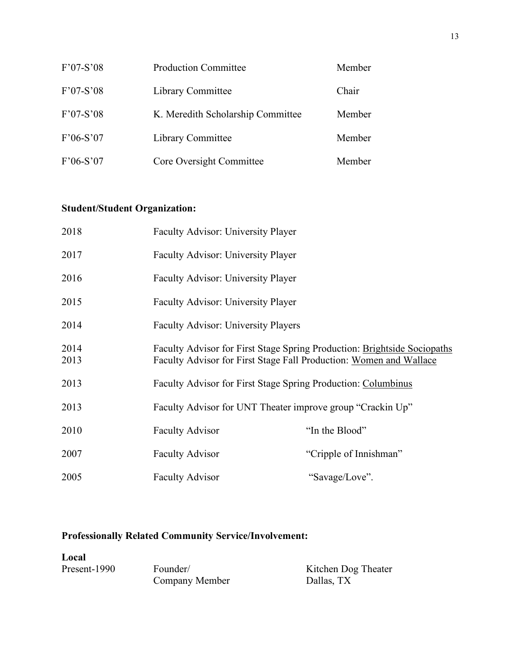| $F'07-S'08$ | <b>Production Committee</b>       | Member |
|-------------|-----------------------------------|--------|
| $F'07-S'08$ | Library Committee                 | Chair  |
| $F'07-S'08$ | K. Meredith Scholarship Committee | Member |
| $F'06-S'07$ | Library Committee                 | Member |
| $F'06-S'07$ | Core Oversight Committee          | Member |

## **Student/Student Organization:**

| 2018         | <b>Faculty Advisor: University Player</b>  |                                                                                                                                                |  |  |
|--------------|--------------------------------------------|------------------------------------------------------------------------------------------------------------------------------------------------|--|--|
| 2017         | Faculty Advisor: University Player         |                                                                                                                                                |  |  |
| 2016         | Faculty Advisor: University Player         |                                                                                                                                                |  |  |
| 2015         | Faculty Advisor: University Player         |                                                                                                                                                |  |  |
| 2014         | <b>Faculty Advisor: University Players</b> |                                                                                                                                                |  |  |
| 2014<br>2013 |                                            | Faculty Advisor for First Stage Spring Production: Brightside Sociopaths<br>Faculty Advisor for First Stage Fall Production: Women and Wallace |  |  |
| 2013         |                                            | <b>Faculty Advisor for First Stage Spring Production: Columbinus</b>                                                                           |  |  |
| 2013         |                                            | Faculty Advisor for UNT Theater improve group "Crackin Up"                                                                                     |  |  |
| 2010         | <b>Faculty Advisor</b>                     | "In the Blood"                                                                                                                                 |  |  |
| 2007         | <b>Faculty Advisor</b>                     | "Cripple of Innishman"                                                                                                                         |  |  |
| 2005         | <b>Faculty Advisor</b>                     | "Savage/Love".                                                                                                                                 |  |  |

### **Professionally Related Community Service/Involvement:**

Local<br>Present-1990 Present-1990 Founder/ Kitchen Dog Theater<br>
Company Member Dallas, TX Company Member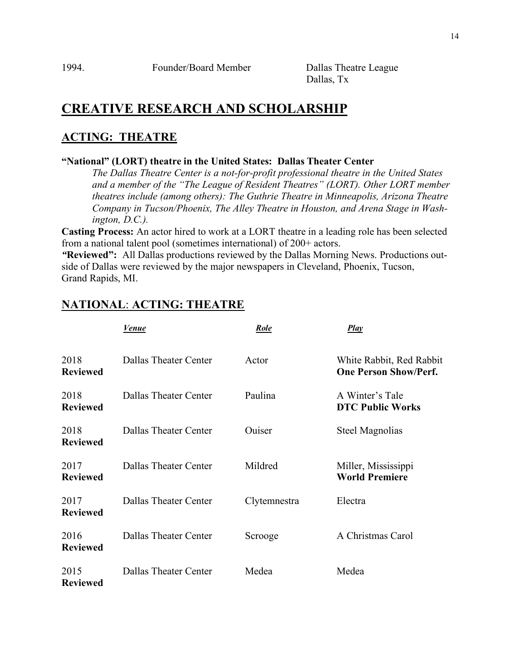Dallas, Tx

## **CREATIVE RESEARCH AND SCHOLARSHIP**

### **ACTING: THEATRE**

#### **"National" (LORT) theatre in the United States: Dallas Theater Center**

*The Dallas Theatre Center is a not-for-profit professional theatre in the United States and a member of the "The League of Resident Theatres" (LORT). Other LORT member theatres include (among others): The Guthrie Theatre in Minneapolis, Arizona Theatre Company in Tucson/Phoenix, The Alley Theatre in Houston, and Arena Stage in Washington, D.C.).*

**Casting Process:** An actor hired to work at a LORT theatre in a leading role has been selected from a national talent pool (sometimes international) of 200+ actors.

*"***Reviewed":** All Dallas productions reviewed by the Dallas Morning News. Productions outside of Dallas were reviewed by the major newspapers in Cleveland, Phoenix, Tucson, Grand Rapids, MI.

## **NATIONAL**: **ACTING: THEATRE**

|                         | Venue                        | Role         | <b>Play</b>                                              |
|-------------------------|------------------------------|--------------|----------------------------------------------------------|
| 2018<br><b>Reviewed</b> | Dallas Theater Center        | Actor        | White Rabbit, Red Rabbit<br><b>One Person Show/Perf.</b> |
| 2018<br><b>Reviewed</b> | Dallas Theater Center        | Paulina      | A Winter's Tale<br><b>DTC Public Works</b>               |
| 2018<br><b>Reviewed</b> | <b>Dallas Theater Center</b> | Ouiser       | <b>Steel Magnolias</b>                                   |
| 2017<br><b>Reviewed</b> | <b>Dallas Theater Center</b> | Mildred      | Miller, Mississippi<br><b>World Premiere</b>             |
| 2017<br><b>Reviewed</b> | Dallas Theater Center        | Clytemnestra | Electra                                                  |
| 2016<br><b>Reviewed</b> | Dallas Theater Center        | Scrooge      | A Christmas Carol                                        |
| 2015<br><b>Reviewed</b> | Dallas Theater Center        | Medea        | Medea                                                    |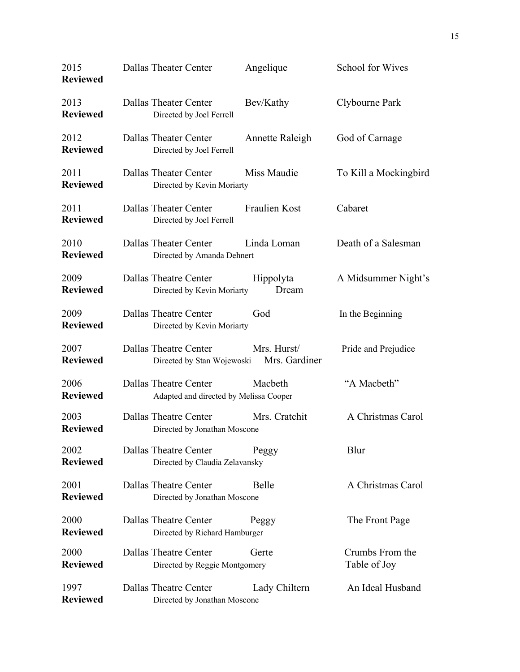| 2015<br><b>Reviewed</b> | Dallas Theater Center        |                                        | Angelique                    | <b>School for Wives</b>         |
|-------------------------|------------------------------|----------------------------------------|------------------------------|---------------------------------|
| 2013<br><b>Reviewed</b> | Dallas Theater Center        | Directed by Joel Ferrell               | Bev/Kathy                    | Clybourne Park                  |
| 2012<br><b>Reviewed</b> | Dallas Theater Center        | Directed by Joel Ferrell               | Annette Raleigh              | God of Carnage                  |
| 2011<br><b>Reviewed</b> | Dallas Theater Center        | Directed by Kevin Moriarty             | Miss Maudie                  | To Kill a Mockingbird           |
| 2011<br><b>Reviewed</b> | Dallas Theater Center        | Directed by Joel Ferrell               | Fraulien Kost                | Cabaret                         |
| 2010<br><b>Reviewed</b> | Dallas Theater Center        | Directed by Amanda Dehnert             | Linda Loman                  | Death of a Salesman             |
| 2009<br><b>Reviewed</b> | <b>Dallas Theatre Center</b> | Directed by Kevin Moriarty             | Hippolyta<br>Dream           | A Midsummer Night's             |
| 2009<br><b>Reviewed</b> | Dallas Theatre Center        | Directed by Kevin Moriarty             | God                          | In the Beginning                |
| 2007<br><b>Reviewed</b> | Dallas Theatre Center        | Directed by Stan Wojewoski             | Mrs. Hurst/<br>Mrs. Gardiner | Pride and Prejudice             |
| 2006<br><b>Reviewed</b> | Dallas Theatre Center        | Adapted and directed by Melissa Cooper | Macbeth                      | "A Macbeth"                     |
| 2003<br><b>Reviewed</b> | Dallas Theatre Center        | Directed by Jonathan Moscone           | Mrs. Cratchit                | A Christmas Carol               |
| 2002<br><b>Reviewed</b> | Dallas Theatre Center        | Directed by Claudia Zelavansky         | Peggy                        | Blur                            |
| 2001<br><b>Reviewed</b> | Dallas Theatre Center        | Directed by Jonathan Moscone           | Belle                        | A Christmas Carol               |
| 2000<br><b>Reviewed</b> | Dallas Theatre Center        | Directed by Richard Hamburger          | Peggy                        | The Front Page                  |
| 2000<br><b>Reviewed</b> | Dallas Theatre Center        | Directed by Reggie Montgomery          | Gerte                        | Crumbs From the<br>Table of Joy |
| 1997<br><b>Reviewed</b> | Dallas Theatre Center        | Directed by Jonathan Moscone           | Lady Chiltern                | An Ideal Husband                |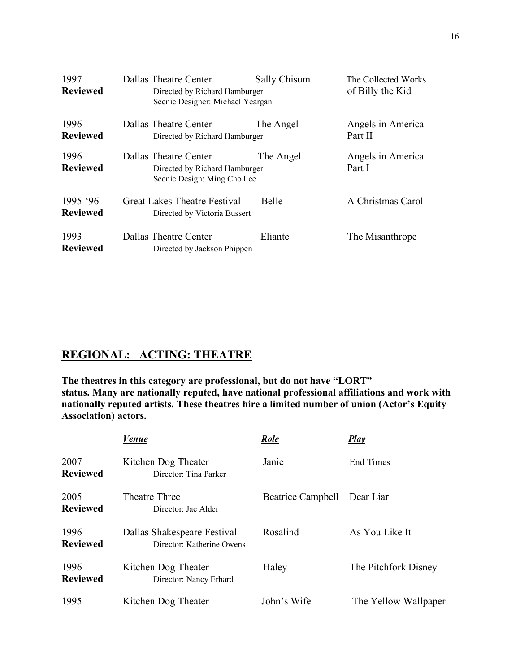| 1997<br><b>Reviewed</b>        | Dallas Theatre Center<br>Directed by Richard Hamburger<br>Scenic Designer: Michael Yeargan | Sally Chisum | The Collected Works<br>of Billy the Kid |
|--------------------------------|--------------------------------------------------------------------------------------------|--------------|-----------------------------------------|
| 1996<br><b>Reviewed</b>        | Dallas Theatre Center<br>Directed by Richard Hamburger                                     | The Angel    | Angels in America<br>Part II            |
| 1996<br><b>Reviewed</b>        | Dallas Theatre Center<br>Directed by Richard Hamburger<br>Scenic Design: Ming Cho Lee      | The Angel    | Angels in America<br>Part I             |
| $1995 - 96$<br><b>Reviewed</b> | Great Lakes Theatre Festival<br>Directed by Victoria Bussert                               | <b>Belle</b> | A Christmas Carol                       |
| 1993<br><b>Reviewed</b>        | Dallas Theatre Center<br>Directed by Jackson Phippen                                       | Eliante      | The Misanthrope                         |

## **REGIONAL: ACTING: THEATRE**

**The theatres in this category are professional, but do not have "LORT" status. Many are nationally reputed, have national professional affiliations and work with nationally reputed artists. These theatres hire a limited number of union (Actor's Equity Association) actors.**

|                         | Venue                                                    | Role              | <b>Play</b>          |
|-------------------------|----------------------------------------------------------|-------------------|----------------------|
| 2007<br><b>Reviewed</b> | Kitchen Dog Theater<br>Director: Tina Parker             | Janie             | <b>End Times</b>     |
| 2005<br><b>Reviewed</b> | Theatre Three<br>Director: Jac Alder                     | Beatrice Campbell | Dear Liar            |
| 1996<br><b>Reviewed</b> | Dallas Shakespeare Festival<br>Director: Katherine Owens | Rosalind          | As You Like It       |
| 1996<br><b>Reviewed</b> | Kitchen Dog Theater<br>Director: Nancy Erhard            | Haley             | The Pitchfork Disney |
| 1995                    | Kitchen Dog Theater                                      | John's Wife       | The Yellow Wallpaper |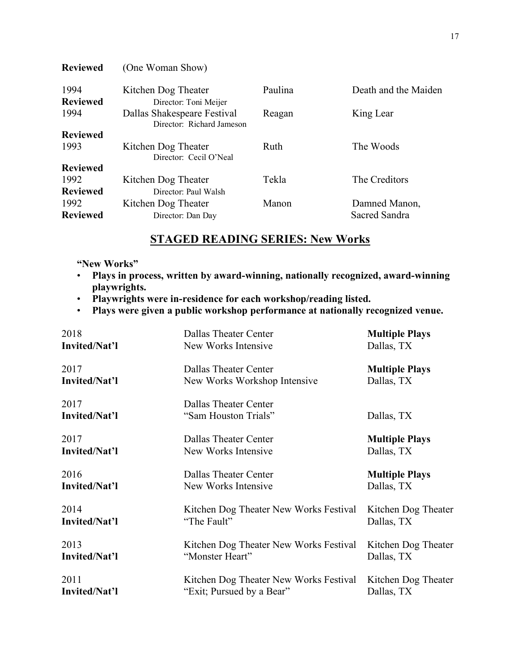| <b>Reviewed</b> | (One Woman Show)                                         |         |                      |
|-----------------|----------------------------------------------------------|---------|----------------------|
| 1994            | Kitchen Dog Theater                                      | Paulina | Death and the Maiden |
| <b>Reviewed</b> | Director: Toni Meijer                                    |         |                      |
| 1994            | Dallas Shakespeare Festival<br>Director: Richard Jameson | Reagan  | King Lear            |
| <b>Reviewed</b> |                                                          |         |                      |
| 1993            | Kitchen Dog Theater<br>Director: Cecil O'Neal            | Ruth    | The Woods            |
| <b>Reviewed</b> |                                                          |         |                      |
| 1992            | Kitchen Dog Theater                                      | Tekla   | The Creditors        |
| <b>Reviewed</b> | Director: Paul Walsh                                     |         |                      |
| 1992            | Kitchen Dog Theater                                      | Manon   | Damned Manon,        |
| <b>Reviewed</b> | Director: Dan Day                                        |         | Sacred Sandra        |

## **STAGED READING SERIES: New Works**

#### **"New Works"**

- **Plays in process, written by award-winning, nationally recognized, award-winning playwrights.**
- **Playwrights were in-residence for each workshop/reading listed.**
- **Plays were given a public workshop performance at nationally recognized venue.**

| 2018                  | Dallas Theater Center                         | <b>Multiple Plays</b> |
|-----------------------|-----------------------------------------------|-----------------------|
| Invited/Nat'l         | New Works Intensive                           | Dallas, TX            |
| 2017                  | Dallas Theater Center                         | <b>Multiple Plays</b> |
| Invited/Nat'l         | New Works Workshop Intensive                  | Dallas, TX            |
| 2017<br>Invited/Nat'l | Dallas Theater Center<br>"Sam Houston Trials" | Dallas, TX            |
| 2017                  | Dallas Theater Center                         | <b>Multiple Plays</b> |
| Invited/Nat'l         | New Works Intensive                           | Dallas, TX            |
| 2016                  | Dallas Theater Center                         | <b>Multiple Plays</b> |
| Invited/Nat'l         | New Works Intensive                           | Dallas, TX            |
| 2014                  | Kitchen Dog Theater New Works Festival        | Kitchen Dog Theater   |
| Invited/Nat'l         | "The Fault"                                   | Dallas, TX            |
| 2013                  | Kitchen Dog Theater New Works Festival        | Kitchen Dog Theater   |
| Invited/Nat'l         | "Monster Heart"                               | Dallas, TX            |
| 2011                  | Kitchen Dog Theater New Works Festival        | Kitchen Dog Theater   |
| Invited/Nat'l         | "Exit; Pursued by a Bear"                     | Dallas, TX            |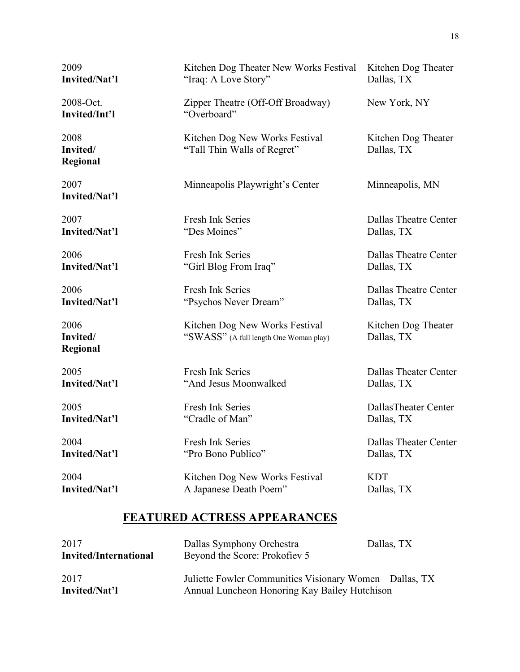| 2009                                | Kitchen Dog Theater New Works Festival                                   | Kitchen Dog Theater               |
|-------------------------------------|--------------------------------------------------------------------------|-----------------------------------|
| Invited/Nat'l                       | "Iraq: A Love Story"                                                     | Dallas, TX                        |
| 2008-Oct.<br>Invited/Int'l          | Zipper Theatre (Off-Off Broadway)<br>"Overboard"                         | New York, NY                      |
| 2008<br>Invited/<br>Regional        | Kitchen Dog New Works Festival<br>"Tall Thin Walls of Regret"            | Kitchen Dog Theater<br>Dallas, TX |
| 2007<br>Invited/Nat'l               | Minneapolis Playwright's Center                                          | Minneapolis, MN                   |
| 2007                                | Fresh Ink Series                                                         | <b>Dallas Theatre Center</b>      |
| <b>Invited/Nat'l</b>                | "Des Moines"                                                             | Dallas, TX                        |
| 2006                                | Fresh Ink Series                                                         | <b>Dallas Theatre Center</b>      |
| Invited/Nat'l                       | "Girl Blog From Iraq"                                                    | Dallas, TX                        |
| 2006                                | Fresh Ink Series                                                         | Dallas Theatre Center             |
| Invited/Nat'l                       | "Psychos Never Dream"                                                    | Dallas, TX                        |
| 2006<br>Invited/<br><b>Regional</b> | Kitchen Dog New Works Festival<br>"SWASS" (A full length One Woman play) | Kitchen Dog Theater<br>Dallas, TX |
| 2005                                | Fresh Ink Series                                                         | <b>Dallas Theater Center</b>      |
| Invited/Nat'l                       | "And Jesus Moonwalked                                                    | Dallas, TX                        |
| 2005                                | Fresh Ink Series                                                         | DallasTheater Center              |
| Invited/Nat'l                       | "Cradle of Man"                                                          | Dallas, TX                        |
| 2004                                | Fresh Ink Series                                                         | <b>Dallas Theater Center</b>      |
| Invited/Nat'l                       | "Pro Bono Publico"                                                       | Dallas, TX                        |
| 2004                                | Kitchen Dog New Works Festival                                           | <b>KDT</b>                        |
| Invited/Nat'l                       | A Japanese Death Poem"                                                   | Dallas, TX                        |

## **FEATURED ACTRESS APPEARANCES**

| 2017<br>Invited/International | Dallas Symphony Orchestra<br>Beyond the Score: Prokofiev 5                                              | Dallas, TX |
|-------------------------------|---------------------------------------------------------------------------------------------------------|------------|
| 2017<br>Invited/Nat'l         | Juliette Fowler Communities Visionary Women Dallas, TX<br>Annual Luncheon Honoring Kay Bailey Hutchison |            |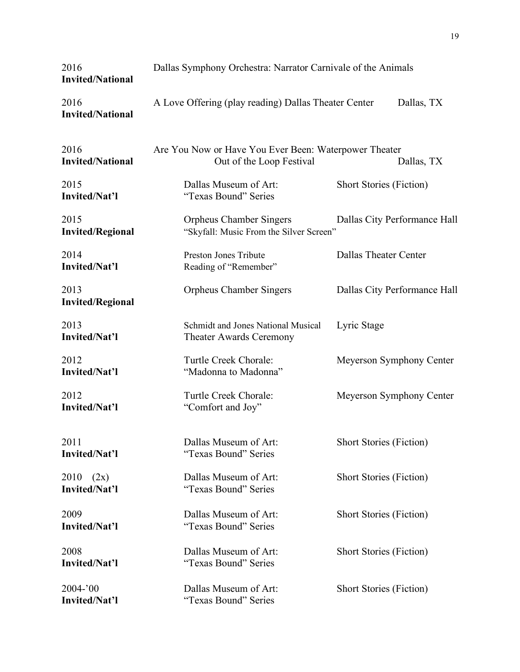| 2016<br><b>Invited/National</b> | Dallas Symphony Orchestra: Narrator Carnivale of the Animals                      |                                |  |
|---------------------------------|-----------------------------------------------------------------------------------|--------------------------------|--|
| 2016<br><b>Invited/National</b> | A Love Offering (play reading) Dallas Theater Center                              | Dallas, TX                     |  |
| 2016<br><b>Invited/National</b> | Are You Now or Have You Ever Been: Waterpower Theater<br>Out of the Loop Festival | Dallas, TX                     |  |
| 2015<br>Invited/Nat'l           | Dallas Museum of Art:<br>"Texas Bound" Series                                     | <b>Short Stories (Fiction)</b> |  |
| 2015<br><b>Invited/Regional</b> | <b>Orpheus Chamber Singers</b><br>"Skyfall: Music From the Silver Screen"         | Dallas City Performance Hall   |  |
| 2014<br>Invited/Nat'l           | Preston Jones Tribute<br>Reading of "Remember"                                    | Dallas Theater Center          |  |
| 2013<br><b>Invited/Regional</b> | <b>Orpheus Chamber Singers</b>                                                    | Dallas City Performance Hall   |  |
| 2013<br>Invited/Nat'l           | Schmidt and Jones National Musical<br><b>Theater Awards Ceremony</b>              | Lyric Stage                    |  |
| 2012<br>Invited/Nat'l           | Turtle Creek Chorale:<br>"Madonna to Madonna"                                     | Meyerson Symphony Center       |  |
| 2012<br>Invited/Nat'l           | Turtle Creek Chorale:<br>"Comfort and Joy"                                        | Meyerson Symphony Center       |  |
| 2011<br>Invited/Nat'l           | Dallas Museum of Art:<br>"Texas Bound" Series                                     | <b>Short Stories (Fiction)</b> |  |
| (2x)<br>2010<br>Invited/Nat'l   | Dallas Museum of Art:<br>"Texas Bound" Series                                     | <b>Short Stories (Fiction)</b> |  |
| 2009<br>Invited/Nat'l           | Dallas Museum of Art:<br>"Texas Bound" Series                                     | <b>Short Stories (Fiction)</b> |  |
| 2008<br>Invited/Nat'l           | Dallas Museum of Art:<br>"Texas Bound" Series                                     | <b>Short Stories (Fiction)</b> |  |
| $2004 - 00$<br>Invited/Nat'l    | Dallas Museum of Art:<br>"Texas Bound" Series                                     | <b>Short Stories (Fiction)</b> |  |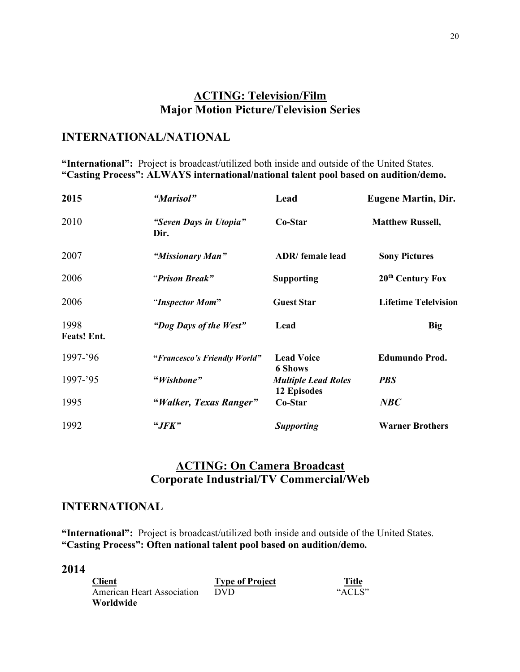## **ACTING: Television/Film Major Motion Picture/Television Series**

### **INTERNATIONAL/NATIONAL**

**"International":** Project is broadcast/utilized both inside and outside of the United States. **"Casting Process": ALWAYS international/national talent pool based on audition/demo.**

| 2015                       | "Marisol"                      | Lead                                      | <b>Eugene Martin, Dir.</b>   |
|----------------------------|--------------------------------|-------------------------------------------|------------------------------|
| 2010                       | "Seven Days in Utopia"<br>Dir. | Co-Star                                   | <b>Matthew Russell,</b>      |
| 2007                       | "Missionary Man"               | <b>ADR</b> / female lead                  | <b>Sony Pictures</b>         |
| 2006                       | "Prison Break"                 | <b>Supporting</b>                         | 20 <sup>th</sup> Century Fox |
| 2006                       | "Inspector Mom"                | <b>Guest Star</b>                         | <b>Lifetime Telelvision</b>  |
| 1998<br><b>Feats!</b> Ent. | "Dog Days of the West"         | Lead                                      | <b>Big</b>                   |
| 1997-'96                   | "Francesco's Friendly World"   | <b>Lead Voice</b><br><b>6 Shows</b>       | Edumundo Prod.               |
| 1997-'95                   | "Wishbone"                     | <b>Multiple Lead Roles</b><br>12 Episodes | <b>PBS</b>                   |
| 1995                       | "Walker, Texas Ranger"         | Co-Star                                   | NBC                          |
| 1992                       | "JFK"                          | <b>Supporting</b>                         | <b>Warner Brothers</b>       |

### **ACTING: On Camera Broadcast Corporate Industrial/TV Commercial/Web**

#### **INTERNATIONAL**

**"International":** Project is broadcast/utilized both inside and outside of the United States. **"Casting Process": Often national talent pool based on audition/demo.**

| <b>Client</b>                     | <b>Type of Project</b> | Title  |
|-----------------------------------|------------------------|--------|
| <b>American Heart Association</b> | <b>DVD</b>             | "ACLS" |
| <b>Worldwide</b>                  |                        |        |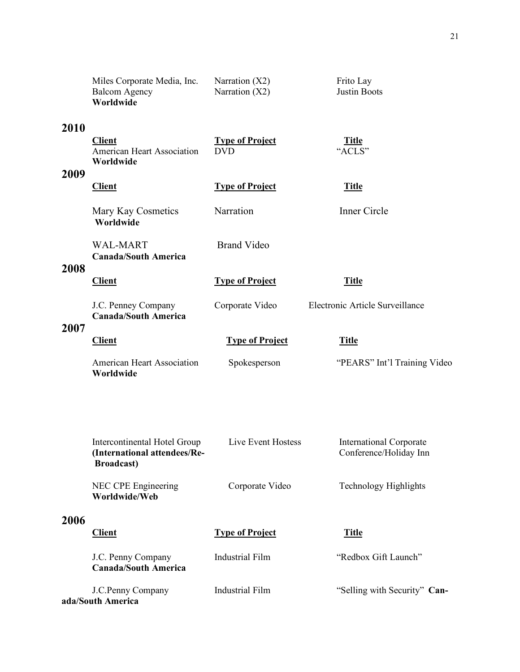|      | Miles Corporate Media, Inc.<br><b>Balcom Agency</b><br>Worldwide                   | Narration $(X2)$<br>Narration $(X2)$ | Frito Lay<br>Justin Boots                                |
|------|------------------------------------------------------------------------------------|--------------------------------------|----------------------------------------------------------|
| 2010 | <b>Client</b><br>American Heart Association<br>Worldwide                           | <b>Type of Project</b><br><b>DVD</b> | <u>Title</u><br>"ACLS"                                   |
| 2009 | <b>Client</b>                                                                      | <b>Type of Project</b>               | <b>Title</b>                                             |
|      | Mary Kay Cosmetics<br>Worldwide                                                    | Narration                            | Inner Circle                                             |
| 2008 | <b>WAL-MART</b><br><b>Canada/South America</b>                                     | <b>Brand Video</b>                   |                                                          |
|      | <b>Client</b>                                                                      | <b>Type of Project</b>               | <b>Title</b>                                             |
| 2007 | J.C. Penney Company<br><b>Canada/South America</b>                                 | Corporate Video                      | Electronic Article Surveillance                          |
|      | <b>Client</b>                                                                      | <b>Type of Project</b>               | <b>Title</b>                                             |
|      | <b>American Heart Association</b><br>Worldwide                                     | Spokesperson                         | "PEARS" Int'l Training Video                             |
|      |                                                                                    |                                      |                                                          |
|      | Intercontinental Hotel Group<br>(International attendees/Re-<br><b>Broadcast</b> ) | Live Event Hostess                   | <b>International Corporate</b><br>Conference/Holiday Inn |
|      | NEC CPE Engineering<br>Worldwide/Web                                               | Corporate Video                      | <b>Technology Highlights</b>                             |
| 2006 | <b>Client</b>                                                                      | <b>Type of Project</b>               | <b>Title</b>                                             |
|      | J.C. Penny Company<br><b>Canada/South America</b>                                  | <b>Industrial Film</b>               | "Redbox Gift Launch"                                     |
|      | J.C.Penny Company<br>ada/South America                                             | <b>Industrial Film</b>               | "Selling with Security" Can-                             |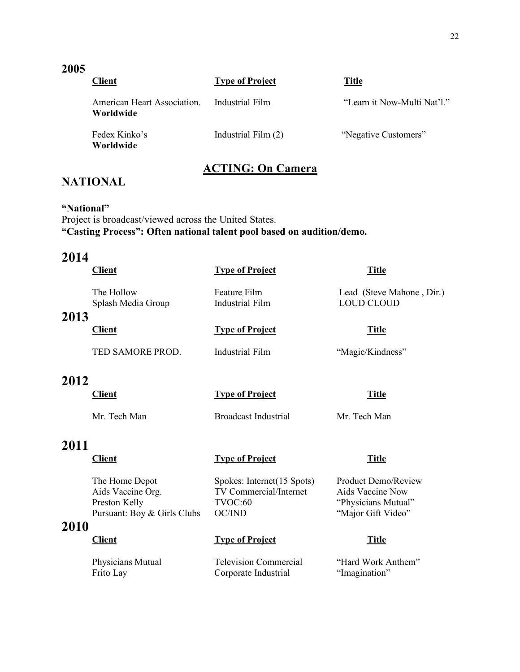#### **2005**

| <b>Client</b>                            | <b>Type of Project</b> | Title                       |
|------------------------------------------|------------------------|-----------------------------|
| American Heart Association.<br>Worldwide | Industrial Film        | "Learn it Now-Multi Nat'l." |
| Fedex Kinko's<br>Worldwide               | Industrial Film (2)    | "Negative Customers"        |

### **ACTING: On Camera**

## **NATIONAL**

#### **"National"**

Project is broadcast/viewed across the United States. **"Casting Process": Often national talent pool based on audition/demo.**

## **2014**

|      | <b>Client</b>                    | <b>Type of Project</b>          | <b>Title</b>                                   |
|------|----------------------------------|---------------------------------|------------------------------------------------|
| 2013 | The Hollow<br>Splash Media Group | Feature Film<br>Industrial Film | Lead (Steve Mahone, Dir.)<br><b>LOUD CLOUD</b> |
|      | <b>Client</b>                    | <b>Type of Project</b>          | <b>Title</b>                                   |
|      | TED SAMORE PROD.                 | Industrial Film                 | "Magic/Kindness"                               |
| 2012 |                                  |                                 |                                                |
|      | <b>Client</b>                    | <b>Type of Project</b>          | <b>Title</b>                                   |
|      | Mr. Tech Man                     | <b>Broadcast Industrial</b>     | Mr. Tech Man                                   |
| 2011 |                                  |                                 |                                                |
|      | <b>Client</b>                    | <b>Type of Project</b>          | <b>Title</b>                                   |
|      | The Home Depot                   | Spokes: Internet (15 Spots)     | <b>Product Demo/Review</b>                     |

Aids Vaccine Org. TV Commercial/Internet Aids Vaccine Now Preston Kelly TVOC:60 "Physicians Mutual"<br>Pursuant: Boy & Girls Clubs OC/IND "Major Gift Video" Pursuant: Boy & Girls Clubs OC/IND

| <b>Client</b> | <b>Type of Project</b> | Title |
|---------------|------------------------|-------|
|               |                        |       |

| Physicians Mutual | <b>Television Commercial</b> | "Hard Work Anthem" |
|-------------------|------------------------------|--------------------|
| Frito Lay         | Corporate Industrial         | "Imagination"      |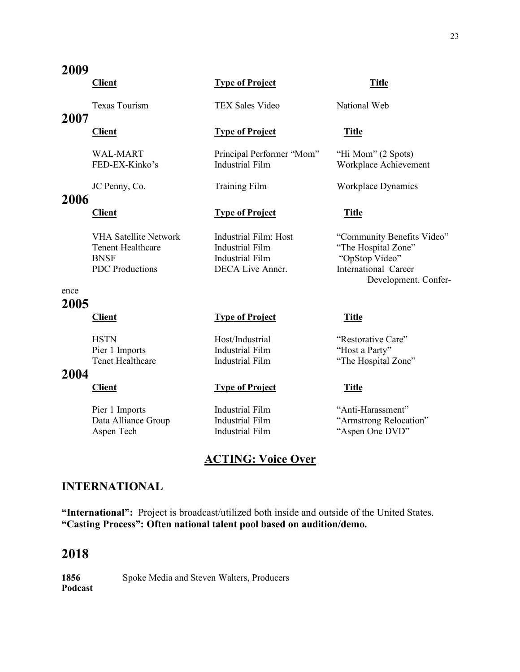|      | <b>Texas Tourism</b>                                                                              | <b>TEX Sales Video</b>                                                                        | National Web                                                                                |
|------|---------------------------------------------------------------------------------------------------|-----------------------------------------------------------------------------------------------|---------------------------------------------------------------------------------------------|
| 2007 | <b>Client</b>                                                                                     | <b>Type of Project</b>                                                                        | <b>Title</b>                                                                                |
|      | <b>WAL-MART</b><br>FED-EX-Kinko's                                                                 | Principal Performer "Mom"<br><b>Industrial Film</b>                                           | "Hi Mom" (2 Spots)<br>Workplace Achievement                                                 |
|      | JC Penny, Co.                                                                                     | <b>Training Film</b>                                                                          | Workplace Dynamics                                                                          |
| 2006 | <b>Client</b>                                                                                     | <b>Type of Project</b>                                                                        | <b>Title</b>                                                                                |
|      | <b>VHA Satellite Network</b><br><b>Tenent Healthcare</b><br><b>BNSF</b><br><b>PDC</b> Productions | Industrial Film: Host<br><b>Industrial Film</b><br><b>Industrial Film</b><br>DECA Live Anner. | "Community Benefits Video"<br>"The Hospital Zone"<br>"OpStop Video"<br>International Career |
| ence |                                                                                                   |                                                                                               | Development. Confer-                                                                        |
| 2005 | <b>Client</b>                                                                                     | <b>Type of Project</b>                                                                        | <b>Title</b>                                                                                |
| 2004 | <b>HSTN</b><br>Pier 1 Imports<br>Tenet Healthcare                                                 | Host/Industrial<br><b>Industrial Film</b><br><b>Industrial Film</b>                           | "Restorative Care"<br>"Host a Party"<br>"The Hospital Zone"                                 |

#### **2004**

Pier 1 Imports<br>
Data Alliance Group<br>
Industrial Film 
"Armstrong Relocation" 
"Armstrong Relocation"

## **ACTING: Voice Over**

### **INTERNATIONAL**

**"International":** Project is broadcast/utilized both inside and outside of the United States. **"Casting Process": Often national talent pool based on audition/demo.**

## **2018**

1856 Spoke Media and Steven Walters, Producers **Podcast**

## **2009**

#### **Client Type of Project Title**

#### **Client Type** of **Project Title**

Data Alliance Group Industrial Film "Armstrong Relocation"<br>
Aspen Tech Industrial Film "Aspen One DVD" Industrial Film "Aspen One DVD"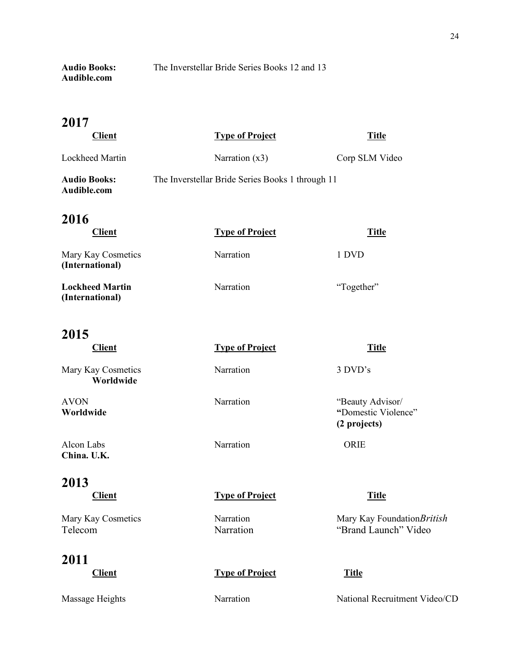**Audio Books:** The Inverstellar Bride Series Books 12 and 13 **Audible.com**

## **2017**

| <b>Client</b>                             | <b>Type of Project</b>                           | <b>Title</b>   |
|-------------------------------------------|--------------------------------------------------|----------------|
| Lockheed Martin                           | Narration $(x3)$                                 | Corp SLM Video |
| <b>Audio Books:</b><br>Audible.com        | The Inverstellar Bride Series Books 1 through 11 |                |
| 2016<br><b>Client</b>                     | <b>Type of Project</b>                           | <b>Title</b>   |
| Mary Kay Cosmetics<br>(International)     | Narration                                        | 1 DVD          |
| <b>Lockheed Martin</b><br>(International) | Narration                                        | "Together"     |

## **2015**

**Client Type of Project Title** Mary Kay Cosmetics Narration 3 DVD's **Worldwide** AVON Narration "Beauty Advisor/<br>
Worldwide "Domestic Violen" **Worldwide "**Domestic Violence" **(2 projects)** Alcon Labs Narration Narration ORIE **China. U.K.**

## **2013**

**Client Type of Project Title**

#### **2011**

**Client Type** of **Project Title** 

Mary Kay Cosmetics Narration Mary Kay Foundation*British* Telecom Narration "Brand Launch" Video

Massage Heights Narration National Recruitment Video/CD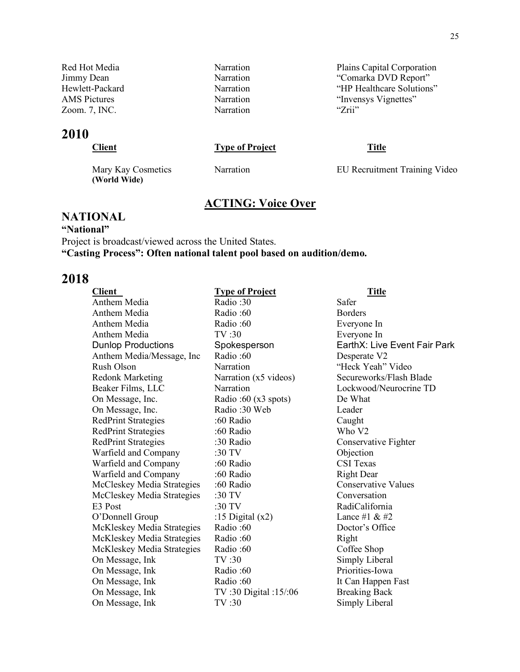Red Hot Media Narration Narration Plains Capital Corporation Jimmy Dean Narration Narration "Comarka DVD Report" Hewlett-Packard Narration Narration "HP Healthcare Solutions" AMS Pictures Narration "Invensys Vignettes" Narration "Invensys Vignettes" Zoom. 7, INC. Zoom. 7, INC. Narration

## **2010**

### **Client Type of Project Title**

**(World Wide)**

Mary Kay Cosmetics Narration EU Recruitment Training Video

## **ACTING: Voice Over**

#### **NATIONAL**

**"National"** Project is broadcast/viewed across the United States. **"Casting Process": Often national talent pool based on audition/demo.**

| <b>Client</b>              | <b>Type of Project</b>        | <u>Title</u>                 |
|----------------------------|-------------------------------|------------------------------|
| Anthem Media               | Radio: 30                     | Safer                        |
| Anthem Media               | Radio:60                      | <b>Borders</b>               |
| Anthem Media               | Radio:60                      | Everyone In                  |
| Anthem Media               | TV:30                         | Everyone In                  |
| <b>Dunlop Productions</b>  | Spokesperson                  | EarthX: Live Event Fair Park |
| Anthem Media/Message, Inc. | Radio:60                      | Desperate V2                 |
| Rush Olson                 | Narration                     | "Heck Yeah" Video            |
| <b>Redonk Marketing</b>    | Narration (x5 videos)         | Secureworks/Flash Blade      |
| Beaker Films, LLC          | Narration                     | Lockwood/Neurocrine TD       |
| On Message, Inc.           | Radio: $60(x3 \text{ spots})$ | De What                      |
| On Message, Inc.           | Radio: 30 Web                 | Leader                       |
| <b>RedPrint Strategies</b> | :60 Radio                     | Caught                       |
| <b>RedPrint Strategies</b> | :60 Radio                     | Who V <sub>2</sub>           |
| <b>RedPrint Strategies</b> | :30 Radio                     | Conservative Fighter         |
| Warfield and Company       | :30 TV                        | Objection                    |
| Warfield and Company       | :60 Radio                     | <b>CSI</b> Texas             |
| Warfield and Company       | :60 Radio                     | <b>Right Dear</b>            |
| McCleskey Media Strategies | :60 Radio                     | <b>Conservative Values</b>   |
| McCleskey Media Strategies | :30 TV                        | Conversation                 |
| E <sub>3</sub> Post        | :30 TV                        | RadiCalifornia               |
| O'Donnell Group            | :15 Digital $(x2)$            | Lance #1 $& 42$              |
| McKleskey Media Strategies | Radio:60                      | Doctor's Office              |
| McKleskey Media Strategies | Radio:60                      | Right                        |
| McKleskey Media Strategies | Radio:60                      | Coffee Shop                  |
| On Message, Ink            | TV:30                         | Simply Liberal               |
| On Message, Ink            | Radio:60                      | Priorities-Iowa              |
| On Message, Ink            | Radio:60                      | It Can Happen Fast           |
| On Message, Ink            | TV:30 Digital:15/:06          | <b>Breaking Back</b>         |
| On Message, Ink            | TV:30                         | Simply Liberal               |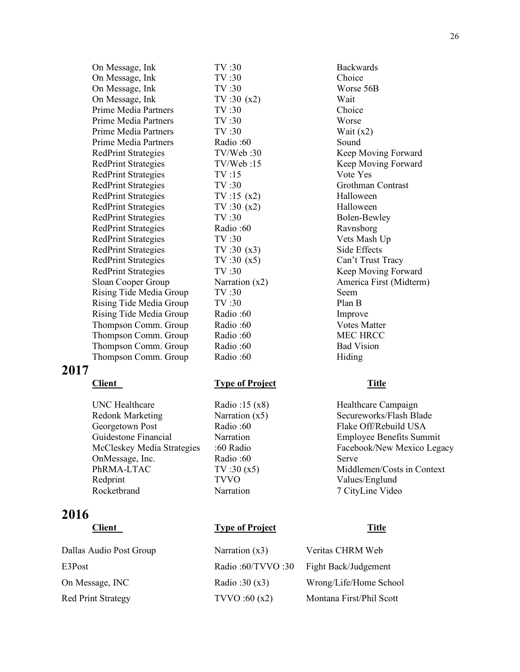| On Message, Ink            | TV:30            | <b>Backwards</b>  |
|----------------------------|------------------|-------------------|
| On Message, Ink            | TV:30            | Choice            |
| On Message, Ink            | TV:30            | Worse 56B         |
| On Message, Ink            | TV:30(x2)        | Wait              |
| Prime Media Partners       | TV:30            | Choice            |
| Prime Media Partners       | TV:30            | Worse             |
| Prime Media Partners       | TV:30            | Wait $(x2)$       |
| Prime Media Partners       | Radio:60         | Sound             |
| <b>RedPrint Strategies</b> | TV/Web:30        | Keep Movi         |
| <b>RedPrint Strategies</b> | TV/Web:15        | Keep Movi         |
| <b>RedPrint Strategies</b> | TV:15            | Vote Yes          |
| <b>RedPrint Strategies</b> | TV:30            | Grothman 0        |
| <b>RedPrint Strategies</b> | TV:15(x2)        | Halloween         |
| <b>RedPrint Strategies</b> | TV:30(x2)        | Halloween         |
| <b>RedPrint Strategies</b> | TV:30            | Bolen-Bew         |
| <b>RedPrint Strategies</b> | Radio:60         | Ravnsborg         |
| <b>RedPrint Strategies</b> | TV:30            | Vets Mash         |
| <b>RedPrint Strategies</b> | TV:30(x3)        | Side Effects      |
| <b>RedPrint Strategies</b> | TV:30(x5)        | Can't Trust       |
| <b>RedPrint Strategies</b> | TV:30            | Keep Movi         |
| Sloan Cooper Group         | Narration $(x2)$ | America Fi        |
| Rising Tide Media Group    | TV:30            | <b>Seem</b>       |
| Rising Tide Media Group    | TV:30            | Plan B            |
| Rising Tide Media Group    | Radio:60         | Improve           |
| Thompson Comm. Group       | Radio:60         | Votes Matto       |
| Thompson Comm. Group       | Radio:60         | <b>MEC HRC</b>    |
| Thompson Comm. Group       | Radio:60         | <b>Bad Vision</b> |
| Thompson Comm. Group       | Radio:60         | Hiding            |

#### **2017**

UNC Healthcare Radio :15 (x8) Healthcare Campaign Redonk Marketing Narration (x5) Secureworks/Flash Blade Georgetown Post Radio :60 Flake Off/Rebuild USA Guidestone Financial Narration Employee Benefits Summit OnMessage, Inc. Radio :60 Serve PhRMA-LTAC TV:30 (x5) Middlemen/Costs in Context Redprint TVVO Values/Englund Rocketbrand Narration 7 CityLine Video

## **2016**

 $TV : 30 (x2)$  Wait  $TV:30$  Wait (x2) Radio :60 Sound TV/Web :30 Keep Moving Forward TV/Web :15 Keep Moving Forward TV :15 Vote Yes TV :30 Grothman Contrast  $TV : 15 (x2)$  Halloween  $TV:30 (x2)$  Halloween TV :30 Bolen-Bewley Radio :60 Ravnsborg TV :30 Vets Mash Up  $TV:30$   $(x3)$  Side Effects  $TV : 30 (x5)$  Can't Trust Tracy TV :30 Keep Moving Forward Narration (x2) America First (Midterm) Radio :60 Improve Radio :60 Votes Matter Radio :60 MEC HRCC Radio :60 Bad Vision Radio :60 Hiding

#### **Client Type of Project Title**

**Client Type of Project Title**

Dallas Audio Post Group Narration (x3) Veritas CHRM Web E3Post Radio :60/TVVO :30 Fight Back/Judgement On Message, INC Radio :30 (x3) Wrong/Life/Home School Red Print Strategy TVVO :60 (x2) Montana First/Phil Scott

McCleskey Media Strategies :60 Radio Facebook/New Mexico Legacy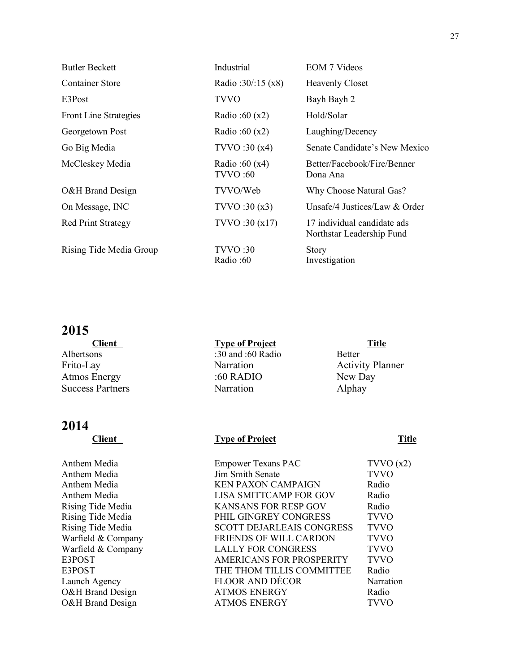| <b>Butler Beckett</b>     | Industrial                         | <b>EOM</b> 7 Videos                                      |
|---------------------------|------------------------------------|----------------------------------------------------------|
| <b>Container Store</b>    | Radio: $30/15$ (x8)                | <b>Heavenly Closet</b>                                   |
| E3Post                    | <b>TVVO</b>                        | Bayh Bayh 2                                              |
| Front Line Strategies     | Radio: $60(x2)$                    | Hold/Solar                                               |
| Georgetown Post           | Radio :60 $(x2)$                   | Laughing/Decency                                         |
| Go Big Media              | TVVO:30(x4)                        | Senate Candidate's New Mexico                            |
| McCleskey Media           | Radio: $60(x4)$<br><b>TVVO</b> :60 | Better/Facebook/Fire/Benner<br>Dona Ana                  |
| O&H Brand Design          | TVVO/Web                           | Why Choose Natural Gas?                                  |
| On Message, INC           | TVVO:30(x3)                        | Unsafe/4 Justices/Law $&$ Order                          |
| <b>Red Print Strategy</b> | TVVO:30(x17)                       | 17 individual candidate ads<br>Northstar Leadership Fund |
| Rising Tide Media Group   | TVVO:30<br>Radio:60                | <b>Story</b><br>Investigation                            |

## **2015**

| <b>Client</b>           | <b>Type of Project</b> | <b>Title</b>            |
|-------------------------|------------------------|-------------------------|
| Albertsons              | :30 and :60 Radio      | <b>Better</b>           |
| Frito-Lay               | Narration              | <b>Activity Planner</b> |
| <b>Atmos Energy</b>     | :60 RADIO              | New Day                 |
| <b>Success Partners</b> | Narration              | Alphay                  |
|                         |                        |                         |

## **2014**

#### **Client Type of Project Title**

| Anthem Media       | <b>Empower Texans PAC</b>        | TVVO(x2)         |
|--------------------|----------------------------------|------------------|
| Anthem Media       | Jim Smith Senate                 | <b>TVVO</b>      |
| Anthem Media       | <b>KEN PAXON CAMPAIGN</b>        | Radio            |
| Anthem Media       | <b>LISA SMITTCAMP FOR GOV</b>    | Radio            |
| Rising Tide Media  | <b>KANSANS FOR RESP GOV</b>      | Radio            |
| Rising Tide Media  | PHIL GINGREY CONGRESS            | <b>TVVO</b>      |
| Rising Tide Media  | <b>SCOTT DEJARLEAIS CONGRESS</b> | <b>TVVO</b>      |
| Warfield & Company | <b>FRIENDS OF WILL CARDON</b>    | <b>TVVO</b>      |
| Warfield & Company | <b>LALLY FOR CONGRESS</b>        | <b>TVVO</b>      |
| E3POST             | <b>AMERICANS FOR PROSPERITY</b>  | <b>TVVO</b>      |
| E3POST             | THE THOM TILLIS COMMITTEE        | Radio            |
| Launch Agency      | <b>FLOOR AND DÉCOR</b>           | <b>Narration</b> |
| O&H Brand Design   | <b>ATMOS ENERGY</b>              | Radio            |
| O&H Brand Design   | <b>ATMOS ENERGY</b>              | <b>TVVO</b>      |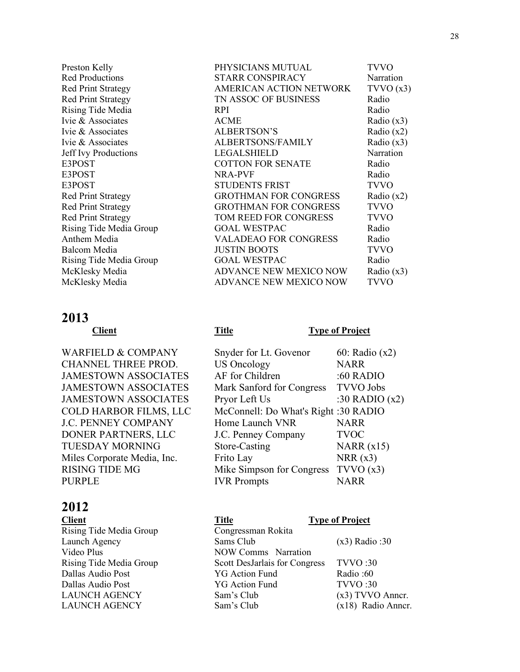#### **2013**

WARFIELD & COMPANY CHANNEL THREE PROD. JAMESTOWN ASSOCIATES JAMESTOWN ASSOCIATES JAMESTOWN ASSOCIATES COLD HARBOR FILMS, LLC **J.C. PENNEY COMPANY** DONER PARTNERS, LLC. TUESDAY MORNING Miles Corporate Media, Inc. RISING TIDE MG PURPLE

## **2012**

| Preston Kelly               | PHYSICIANS MUTUAL             | <b>TVVO</b>  |
|-----------------------------|-------------------------------|--------------|
| <b>Red Productions</b>      | <b>STARR CONSPIRACY</b>       | Narration    |
| <b>Red Print Strategy</b>   | AMERICAN ACTION NETWORK       | TVVO(x3)     |
| <b>Red Print Strategy</b>   | TN ASSOC OF BUSINESS          | Radio        |
| Rising Tide Media           | <b>RPI</b>                    | Radio        |
| Ivie & Associates           | <b>ACME</b>                   | Radio $(x3)$ |
| Ivie & Associates           | <b>ALBERTSON'S</b>            | Radio $(x2)$ |
| Ivie & Associates           | <b>ALBERTSONS/FAMILY</b>      | Radio $(x3)$ |
| <b>Jeff</b> Ivy Productions | <b>LEGALSHIELD</b>            | Narration    |
| E3POST                      | <b>COTTON FOR SENATE</b>      | Radio        |
| E3POST                      | <b>NRA-PVF</b>                | Radio        |
| E3POST                      | <b>STUDENTS FRIST</b>         | <b>TVVO</b>  |
| <b>Red Print Strategy</b>   | <b>GROTHMAN FOR CONGRESS</b>  | Radio $(x2)$ |
| <b>Red Print Strategy</b>   | <b>GROTHMAN FOR CONGRESS</b>  | <b>TVVO</b>  |
| <b>Red Print Strategy</b>   | <b>TOM REED FOR CONGRESS</b>  | <b>TVVO</b>  |
| Rising Tide Media Group     | <b>GOAL WESTPAC</b>           | Radio        |
| Anthem Media                | <b>VALADEAO FOR CONGRESS</b>  | Radio        |
| Balcom Media                | <b>JUSTIN BOOTS</b>           | <b>TVVO</b>  |
| Rising Tide Media Group     | <b>GOAL WESTPAC</b>           | Radio        |
| McKlesky Media              | <b>ADVANCE NEW MEXICO NOW</b> | Radio $(x3)$ |
| McKlesky Media              | <b>ADVANCE NEW MEXICO NOW</b> | <b>TVVO</b>  |

#### **Client Title Type of Project**

| Snyder for Lt. Govenor               | 60: Radio (x2)   |
|--------------------------------------|------------------|
| <b>US Oncology</b>                   | <b>NARR</b>      |
| AF for Children                      | :60 RADIO        |
| Mark Sanford for Congress            | <b>TVVO</b> Jobs |
| Pryor Left Us                        | :30 RADIO $(x2)$ |
| McConnell: Do What's Right :30 RADIO |                  |
| Home Launch VNR                      | NARR             |
| J.C. Penney Company                  | <b>TVOC</b>      |
| Store-Casting                        | NARR $(x15)$     |
| Frito Lay                            | NRR(x3)          |
| Mike Simpson for Congress            | TVVO(x3)         |
| <b>IVR</b> Prompts                   | NARR             |

| <b>Client</b>           | <b>Title</b>                  | <b>Type of Project</b> |
|-------------------------|-------------------------------|------------------------|
| Rising Tide Media Group | Congressman Rokita            |                        |
| Launch Agency           | Sams Club                     | $(x3)$ Radio: 30       |
| Video Plus              | <b>NOW Comms</b> Narration    |                        |
| Rising Tide Media Group | Scott DesJarlais for Congress | TVVO:30                |
| Dallas Audio Post       | <b>YG Action Fund</b>         | Radio:60               |
| Dallas Audio Post       | <b>YG Action Fund</b>         | <b>TVVO</b> :30        |
| <b>LAUNCH AGENCY</b>    | Sam's Club                    | $(x3)$ TVVO Anner.     |
| <b>LAUNCH AGENCY</b>    | Sam's Club                    | (x18) Radio Anner.     |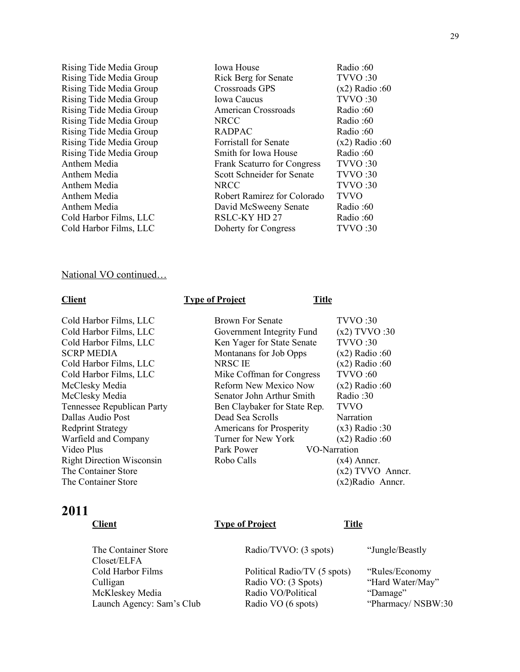Rising Tide Media Group Rising Tide Media Group Rising Tide Media Group Rising Tide Media Group Rising Tide Media Group Rising Tide Media Group Rising Tide Media Group Rising Tide Media Group Rising Tide Media Group Anthem Media Anthem Media Anthem Media Anthem Media Anthem Media Cold Harbor Films, LLC Cold Harbor Films, LLC

| Iowa House                         | Radio:60        |
|------------------------------------|-----------------|
| <b>Rick Berg for Senate</b>        | <b>TVVO</b> :30 |
| Crossroads GPS                     | $(x2)$ Radio:60 |
| <b>Iowa Caucus</b>                 | <b>TVVO</b> :30 |
| <b>American Crossroads</b>         | Radio:60        |
| NRCC                               | Radio:60        |
| RADPAC                             | Radio:60        |
| Forristall for Senate              | $(x2)$ Radio:60 |
| Smith for Iowa House               | Radio:60        |
| <b>Frank Scaturro for Congress</b> | TVVO:30         |
| Scott Schneider for Senate         | <b>TVVO</b> :30 |
| NRCC                               | <b>TVVO:30</b>  |
| Robert Ramirez for Colorado        | <b>TVVO</b>     |
| David McSweeny Senate              | Radio:60        |
| RSLC-KY HD 27                      | Radio:60        |
| Doherty for Congress               | <b>TVVO</b> :30 |

#### National VO continued…

#### **Type of Project Title**

Cold Harbor Films, LLC Brown For Senate TVVO :30 Cold Harbor Films, LLC Government Integrity Fund (x2) TVVO :30 Cold Harbor Films, LLC Ken Yager for State Senate TVVO :30 SCRP MEDIA Montanans for Job Opps (x2) Radio :60 Cold Harbor Films, LLC NRSC IE (x2) Radio :60 Cold Harbor Films, LLC Mike Coffman for Congress TVVO :60 McClesky Media **Reform New Mexico Now** (x2) Radio :60 McClesky Media Senator John Arthur Smith Radio :30 Tennessee Republican Party Ben Claybaker for State Rep. TVVO Dallas Audio Post Dead Sea Scrolls Narration Redprint Strategy Americans for Prosperity (x3) Radio :30 Warfield and Company Turner for New York (x2) Radio :60 Video Plus **Park Power** VO-Narration Right Direction Wisconsin Robo Calls (x4) Anncr. The Container Store (x2) TVVO Anncr. The Container Store (x2)Radio Anncr.

#### **2011**

## **Type of Project Title** The Container Store **Radio/TVVO:** (3 spots) "Jungle/Beastly Closet/ELFA Cold Harbor Films Political Radio/TV (5 spots) "Rules/Economy Culligan Radio VO: (3 Spots) "Hard Water/May" McKleskey Media Radio VO/Political "Damage" Launch Agency: Sam's Club Radio VO (6 spots) "Pharmacy/ NSBW:30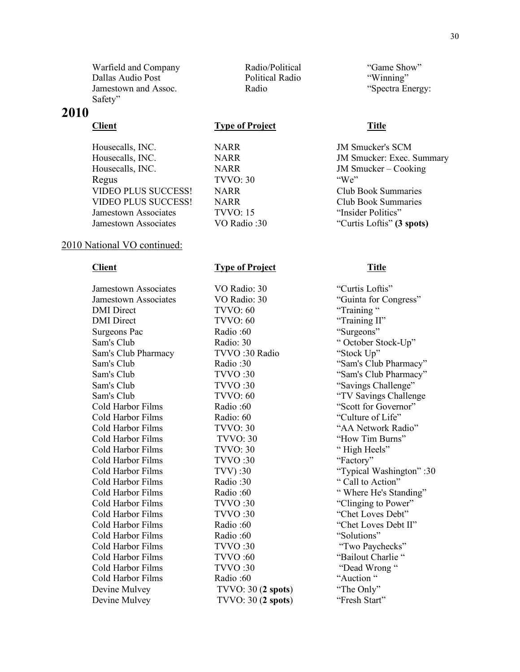Warfield and Company **Radio/Political** "Game Show" Dallas Audio Post Political Radio "Winning" Jamestown and Assoc. Radio Radio "Spectra Energy: Safety"

#### **2010**

#### **Client Type of Project Title**

Housecalls, INC. NARR JM Smucker – Cooking Regus TVVO: 30 "We" VIDEO PLUS SUCCESS! NARR Club Book Summaries VIDEO PLUS SUCCESS! NARR Club Book Summaries Jamestown Associates TVVO: 15 "Insider Politics" Jamestown Associates VO Radio :30 "Curtis Loftis" **(3 spots)**

#### 2010 National VO continued:

**Client Type of Project Title**

Jamestown Associates VO Radio: 30 "Curtis Loftis" Jamestown Associates VO Radio: 30 "Guinta for Congress" DMI Direct TVVO: 60 "Training " DMI Direct TVVO: 60 "Training II" Surgeons Pac Radio :60 "Surgeons" Sam's Club Radio: 30 " October Stock-Up" Sam's Club Pharmacy TVVO :30 Radio "Stock Up" Sam's Club TVVO :30 "Savings Challenge" Cold Harbor Films Radio :60 "Scott for Governor" Cold Harbor Films Radio: 60 (Culture of Life) Cold Harbor Films TVVO: 30 "AA Network Radio" Cold Harbor Films TVVO: 30 "How Tim Burns" Cold Harbor Films TVVO: 30 " High Heels" Cold Harbor Films TVVO :30 "Factory" Cold Harbor Films Radio :30 " Call to Action" Cold Harbor Films TVVO :30 "Clinging to Power" Cold Harbor Films TVVO :30 "Chet Loves Debt" Cold Harbor Films Radio :60 "Chet Loves Debt II" Cold Harbor Films Radio :60 "Solutions" Cold Harbor Films TVVO :30 "Two Paychecks" Cold Harbor Films TVVO :60 "Bailout Charlie " Cold Harbor Films TVVO :30 "Dead Wrong " Cold Harbor Films Radio :60 "Auction " Devine Mulvey TVVO: 30 (**2 spots**) "The Only" Devine Mulvey TVVO: 30 (**2 spots**) "Fresh Start"

Housecalls, INC. NARR JM Smucker's SCM Housecalls, INC. NARR JM Smucker: Exec. Summary

Sam's Club Radio :30 "Sam's Club Pharmacy" Sam's Club TVVO :30 "Sam's Club Pharmacy" Sam's Club TVVO: 60 "TV Savings Challenge Cold Harbor Films TVV) :30 "Typical Washington" :30 Cold Harbor Films Radio :60 " Where He's Standing"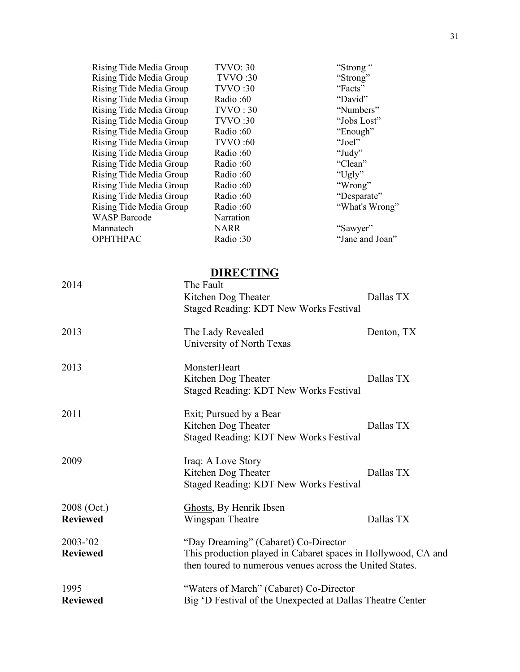| Rising Tide Media Group | "Strong"<br><b>TVVO: 30</b>                                   |                 |
|-------------------------|---------------------------------------------------------------|-----------------|
| Rising Tide Media Group | "Strong"<br><b>TVVO</b> :30                                   |                 |
| Rising Tide Media Group | "Facts"<br><b>TVVO</b> :30                                    |                 |
| Rising Tide Media Group | Radio:60<br>"David"                                           |                 |
| Rising Tide Media Group | TVVO:30                                                       | "Numbers"       |
| Rising Tide Media Group | <b>TVVO</b> :30                                               | "Jobs Lost"     |
| Rising Tide Media Group | Radio:60                                                      | "Enough"        |
| Rising Tide Media Group | "Joel"<br><b>TVVO:60</b>                                      |                 |
| Rising Tide Media Group | "Judy"<br>Radio:60                                            |                 |
| Rising Tide Media Group | Radio:60<br>"Clean"                                           |                 |
| Rising Tide Media Group | "Ugly"<br>Radio:60                                            |                 |
| Rising Tide Media Group | "Wrong"<br>Radio:60                                           |                 |
| Rising Tide Media Group | Radio:60                                                      | "Desparate"     |
| Rising Tide Media Group | Radio:60                                                      | "What's Wrong"  |
| <b>WASP</b> Barcode     | Narration                                                     |                 |
| Mannatech               | "Sawyer"<br><b>NARR</b>                                       |                 |
| OPHTHPAC                | Radio:30                                                      | "Jane and Joan" |
| 2014                    | <b>DIRECTING</b><br>The Fault                                 |                 |
|                         | Kitchen Dog Theater                                           | Dallas TX       |
|                         | Staged Reading: KDT New Works Festival                        |                 |
|                         |                                                               |                 |
| 2013                    | The Lady Revealed<br>University of North Texas                | Denton, TX      |
| 2013                    | MonsterHeart                                                  |                 |
|                         | Kitchen Dog Theater                                           | Dallas TX       |
|                         | <b>Staged Reading: KDT New Works Festival</b>                 |                 |
|                         |                                                               |                 |
| 2011                    | Exit; Pursued by a Bear                                       |                 |
|                         | Kitchen Dog Theater                                           | Dallas TX       |
|                         | Staged Reading: KDT New Works Festival                        |                 |
|                         |                                                               |                 |
| 2009                    | Iraq: A Love Story                                            |                 |
|                         | Kitchen Dog Theater                                           | Dallas TX       |
|                         | Staged Reading: KDT New Works Festival                        |                 |
|                         |                                                               |                 |
| 2008 (Oct.)             | Ghosts, By Henrik Ibsen                                       |                 |
| <b>Reviewed</b>         | Wingspan Theatre                                              | Dallas TX       |
|                         |                                                               |                 |
| 2003-'02                | "Day Dreaming" (Cabaret) Co-Director                          |                 |
| <b>Reviewed</b>         | This production played in Cabaret spaces in Hollywood, CA and |                 |
|                         | then toured to numerous venues across the United States.      |                 |
|                         |                                                               |                 |
| 1995                    | "Waters of March" (Cabaret) Co-Director                       |                 |

**Reviewed** Big 'D Festival of the Unexpected at Dallas Theatre Center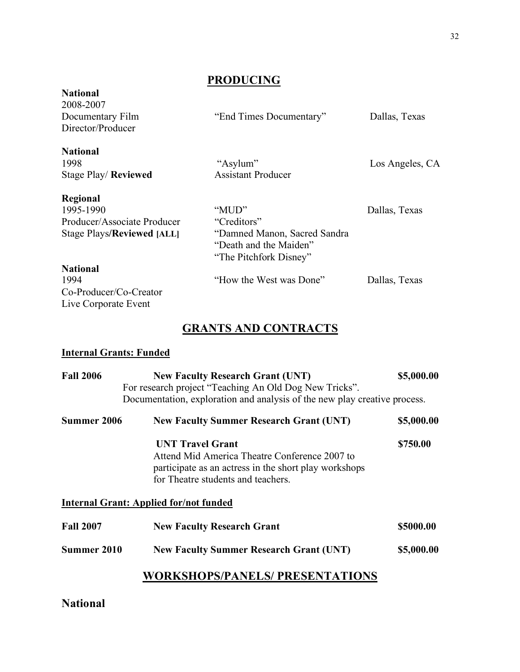## **PRODUCING**

| 2008-2007                         |                               |                 |
|-----------------------------------|-------------------------------|-----------------|
| Documentary Film                  | "End Times Documentary"       | Dallas, Texas   |
| Director/Producer                 |                               |                 |
| <b>National</b>                   |                               |                 |
| 1998                              | "Asylum"                      | Los Angeles, CA |
| <b>Stage Play/ Reviewed</b>       | <b>Assistant Producer</b>     |                 |
| Regional                          |                               |                 |
| 1995-1990                         | "MUD"                         | Dallas, Texas   |
| Producer/Associate Producer       | "Creditors"                   |                 |
| <b>Stage Plays/Reviewed [ALL]</b> | "Damned Manon, Sacred Sandra" |                 |
|                                   | "Death and the Maiden"        |                 |
|                                   | "The Pitchfork Disney"        |                 |
| <b>National</b>                   |                               |                 |
| 1994                              | "How the West was Done"       | Dallas, Texas   |
| Co-Producer/Co-Creator            |                               |                 |
| Live Corporate Event              |                               |                 |

## **GRANTS AND CONTRACTS**

### **Internal Grants: Funded**

**National**

| <b>Fall 2006</b> | <b>New Faculty Research Grant (UNT)</b><br>For research project "Teaching An Old Dog New Tricks".                                                                       | \$5,000.00 |
|------------------|-------------------------------------------------------------------------------------------------------------------------------------------------------------------------|------------|
|                  | Documentation, exploration and analysis of the new play creative process.                                                                                               |            |
| Summer 2006      | <b>New Faculty Summer Research Grant (UNT)</b>                                                                                                                          | \$5,000.00 |
|                  | <b>UNT Travel Grant</b><br>Attend Mid America Theatre Conference 2007 to<br>participate as an actress in the short play workshops<br>for Theatre students and teachers. | \$750.00   |
|                  | <b>Internal Grant: Applied for/not funded</b>                                                                                                                           |            |
| <b>Fall 2007</b> | <b>New Faculty Research Grant</b>                                                                                                                                       | \$5000.00  |
| Summer 2010      | <b>New Faculty Summer Research Grant (UNT)</b>                                                                                                                          | \$5,000.00 |
|                  | WORKSHOPS/PANELS/ PRESENTATIONS                                                                                                                                         |            |

## **National**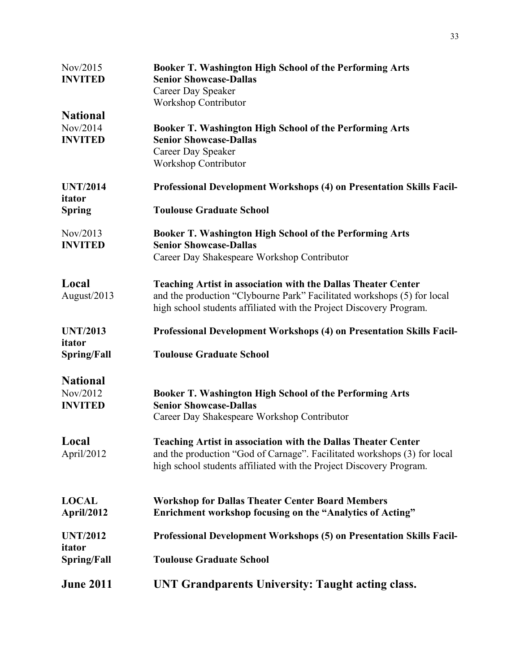| Nov/2015<br><b>INVITED</b>                    | Booker T. Washington High School of the Performing Arts<br><b>Senior Showcase-Dallas</b>                                                                                                                                |  |
|-----------------------------------------------|-------------------------------------------------------------------------------------------------------------------------------------------------------------------------------------------------------------------------|--|
|                                               | Career Day Speaker<br><b>Workshop Contributor</b>                                                                                                                                                                       |  |
| <b>National</b>                               |                                                                                                                                                                                                                         |  |
| Nov/2014<br><b>INVITED</b>                    | <b>Booker T. Washington High School of the Performing Arts</b><br><b>Senior Showcase-Dallas</b><br>Career Day Speaker                                                                                                   |  |
|                                               | <b>Workshop Contributor</b>                                                                                                                                                                                             |  |
| <b>UNT/2014</b><br>itator                     | <b>Professional Development Workshops (4) on Presentation Skills Facil-</b>                                                                                                                                             |  |
| <b>Spring</b>                                 | <b>Toulouse Graduate School</b>                                                                                                                                                                                         |  |
| Nov/2013<br><b>INVITED</b>                    | Booker T. Washington High School of the Performing Arts<br><b>Senior Showcase-Dallas</b>                                                                                                                                |  |
|                                               | Career Day Shakespeare Workshop Contributor                                                                                                                                                                             |  |
|                                               |                                                                                                                                                                                                                         |  |
| Local<br>August/2013                          | <b>Teaching Artist in association with the Dallas Theater Center</b><br>and the production "Clybourne Park" Facilitated workshops (5) for local<br>high school students affiliated with the Project Discovery Program.  |  |
| <b>UNT/2013</b><br>itator                     | Professional Development Workshops (4) on Presentation Skills Facil-                                                                                                                                                    |  |
| Spring/Fall                                   | <b>Toulouse Graduate School</b>                                                                                                                                                                                         |  |
|                                               |                                                                                                                                                                                                                         |  |
| <b>National</b><br>Nov/2012<br><b>INVITED</b> | Booker T. Washington High School of the Performing Arts<br><b>Senior Showcase-Dallas</b>                                                                                                                                |  |
|                                               | Career Day Shakespeare Workshop Contributor                                                                                                                                                                             |  |
| Local<br>April/2012                           | <b>Teaching Artist in association with the Dallas Theater Center</b><br>and the production "God of Carnage". Facilitated workshops (3) for local<br>high school students affiliated with the Project Discovery Program. |  |
| <b>LOCAL</b><br>April/2012                    | <b>Workshop for Dallas Theater Center Board Members</b><br>Enrichment workshop focusing on the "Analytics of Acting"                                                                                                    |  |
| <b>UNT/2012</b>                               | <b>Professional Development Workshops (5) on Presentation Skills Facil-</b>                                                                                                                                             |  |
| itator<br>Spring/Fall                         | <b>Toulouse Graduate School</b>                                                                                                                                                                                         |  |
| <b>June 2011</b>                              | UNT Grandparents University: Taught acting class.                                                                                                                                                                       |  |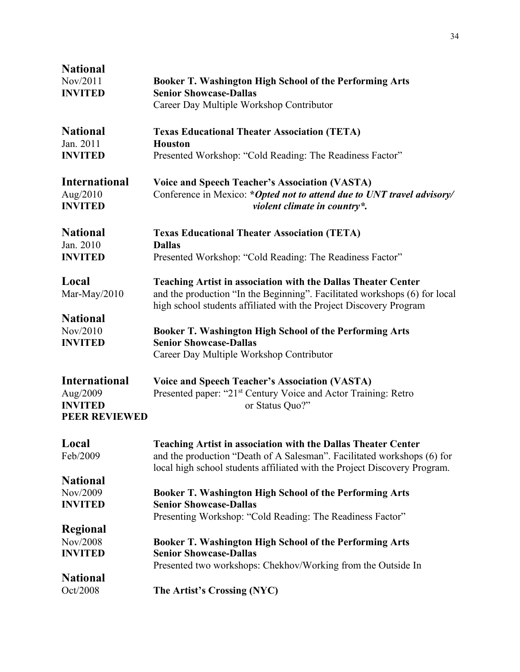| <b>National</b>      |                                                                            |
|----------------------|----------------------------------------------------------------------------|
| Nov/2011             | Booker T. Washington High School of the Performing Arts                    |
| <b>INVITED</b>       | <b>Senior Showcase-Dallas</b>                                              |
|                      | Career Day Multiple Workshop Contributor                                   |
|                      |                                                                            |
| <b>National</b>      | <b>Texas Educational Theater Association (TETA)</b>                        |
| Jan. 2011            | <b>Houston</b>                                                             |
| <b>INVITED</b>       | Presented Workshop: "Cold Reading: The Readiness Factor"                   |
| <b>International</b> | <b>Voice and Speech Teacher's Association (VASTA)</b>                      |
| Aug/2010             | Conference in Mexico: *Opted not to attend due to UNT travel advisory/     |
| <b>INVITED</b>       | violent climate in country*.                                               |
|                      |                                                                            |
| <b>National</b>      | <b>Texas Educational Theater Association (TETA)</b>                        |
| Jan. 2010            | <b>Dallas</b>                                                              |
| <b>INVITED</b>       | Presented Workshop: "Cold Reading: The Readiness Factor"                   |
| Local                | <b>Teaching Artist in association with the Dallas Theater Center</b>       |
| Mar-May/2010         | and the production "In the Beginning". Facilitated workshops (6) for local |
|                      | high school students affiliated with the Project Discovery Program         |
| <b>National</b>      |                                                                            |
| Nov/2010             | <b>Booker T. Washington High School of the Performing Arts</b>             |
| <b>INVITED</b>       | <b>Senior Showcase-Dallas</b>                                              |
|                      | Career Day Multiple Workshop Contributor                                   |
| <b>International</b> | <b>Voice and Speech Teacher's Association (VASTA)</b>                      |
| Aug/2009             | Presented paper: "21 <sup>st</sup> Century Voice and Actor Training: Retro |
| <b>INVITED</b>       | or Status Quo?"                                                            |
| <b>PEER REVIEWED</b> |                                                                            |
|                      |                                                                            |
| Local                | <b>Teaching Artist in association with the Dallas Theater Center</b>       |
| Feb/2009             | and the production "Death of A Salesman". Facilitated workshops (6) for    |
|                      | local high school students affiliated with the Project Discovery Program.  |
| <b>National</b>      |                                                                            |
| Nov/2009             | <b>Booker T. Washington High School of the Performing Arts</b>             |
| <b>INVITED</b>       | <b>Senior Showcase-Dallas</b>                                              |
|                      | Presenting Workshop: "Cold Reading: The Readiness Factor"                  |
| Regional             |                                                                            |
| Nov/2008             | <b>Booker T. Washington High School of the Performing Arts</b>             |
| <b>INVITED</b>       | <b>Senior Showcase-Dallas</b>                                              |
|                      | Presented two workshops: Chekhov/Working from the Outside In               |
| <b>National</b>      |                                                                            |
| Oct/2008             | The Artist's Crossing (NYC)                                                |
|                      |                                                                            |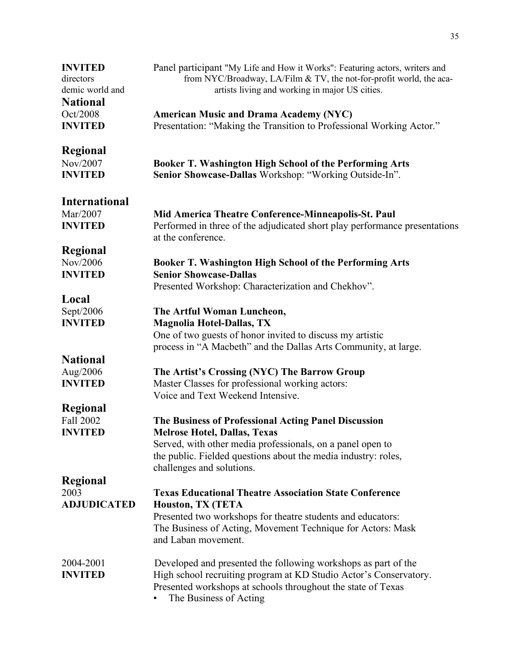| <b>INVITED</b><br>directors<br>demic world and<br><b>National</b><br>Oct/2008 | Panel participant "My Life and How it Works": Featuring actors, writers and<br>from NYC/Broadway, LA/Film & TV, the not-for-profit world, the aca-<br>artists living and working in major US cities.<br><b>American Music and Drama Academy (NYC)</b> |
|-------------------------------------------------------------------------------|-------------------------------------------------------------------------------------------------------------------------------------------------------------------------------------------------------------------------------------------------------|
| <b>INVITED</b>                                                                | Presentation: "Making the Transition to Professional Working Actor."                                                                                                                                                                                  |
| Regional<br>Nov/2007<br><b>INVITED</b>                                        | Booker T. Washington High School of the Performing Arts<br>Senior Showcase-Dallas Workshop: "Working Outside-In".                                                                                                                                     |
| <b>International</b>                                                          |                                                                                                                                                                                                                                                       |
| Mar/2007<br><b>INVITED</b>                                                    | Mid America Theatre Conference-Minneapolis-St. Paul<br>Performed in three of the adjudicated short play performance presentations<br>at the conference.                                                                                               |
| <b>Regional</b>                                                               |                                                                                                                                                                                                                                                       |
| Nov/2006                                                                      | Booker T. Washington High School of the Performing Arts                                                                                                                                                                                               |
| <b>INVITED</b>                                                                | <b>Senior Showcase-Dallas</b><br>Presented Workshop: Characterization and Chekhov".                                                                                                                                                                   |
| Local                                                                         |                                                                                                                                                                                                                                                       |
| Sept/2006<br><b>INVITED</b>                                                   | The Artful Woman Luncheon,<br><b>Magnolia Hotel-Dallas, TX</b>                                                                                                                                                                                        |
|                                                                               | One of two guests of honor invited to discuss my artistic<br>process in "A Macbeth" and the Dallas Arts Community, at large.                                                                                                                          |
| <b>National</b>                                                               |                                                                                                                                                                                                                                                       |
| Aug/2006<br><b>INVITED</b>                                                    | The Artist's Crossing (NYC) The Barrow Group<br>Master Classes for professional working actors:<br>Voice and Text Weekend Intensive.                                                                                                                  |
| Regional                                                                      |                                                                                                                                                                                                                                                       |
| Fall 2002<br><b>INVITED</b>                                                   | The Business of Professional Acting Panel Discussion<br><b>Melrose Hotel, Dallas, Texas</b>                                                                                                                                                           |
|                                                                               | Served, with other media professionals, on a panel open to<br>the public. Fielded questions about the media industry: roles,<br>challenges and solutions.                                                                                             |
| Regional                                                                      |                                                                                                                                                                                                                                                       |
| 2003<br><b>ADJUDICATED</b>                                                    | <b>Texas Educational Theatre Association State Conference</b><br>Houston, TX (TETA                                                                                                                                                                    |
|                                                                               | Presented two workshops for theatre students and educators:<br>The Business of Acting, Movement Technique for Actors: Mask<br>and Laban movement.                                                                                                     |
| 2004-2001<br><b>INVITED</b>                                                   | Developed and presented the following workshops as part of the<br>High school recruiting program at KD Studio Actor's Conservatory.<br>Presented workshops at schools throughout the state of Texas<br>The Business of Acting                         |